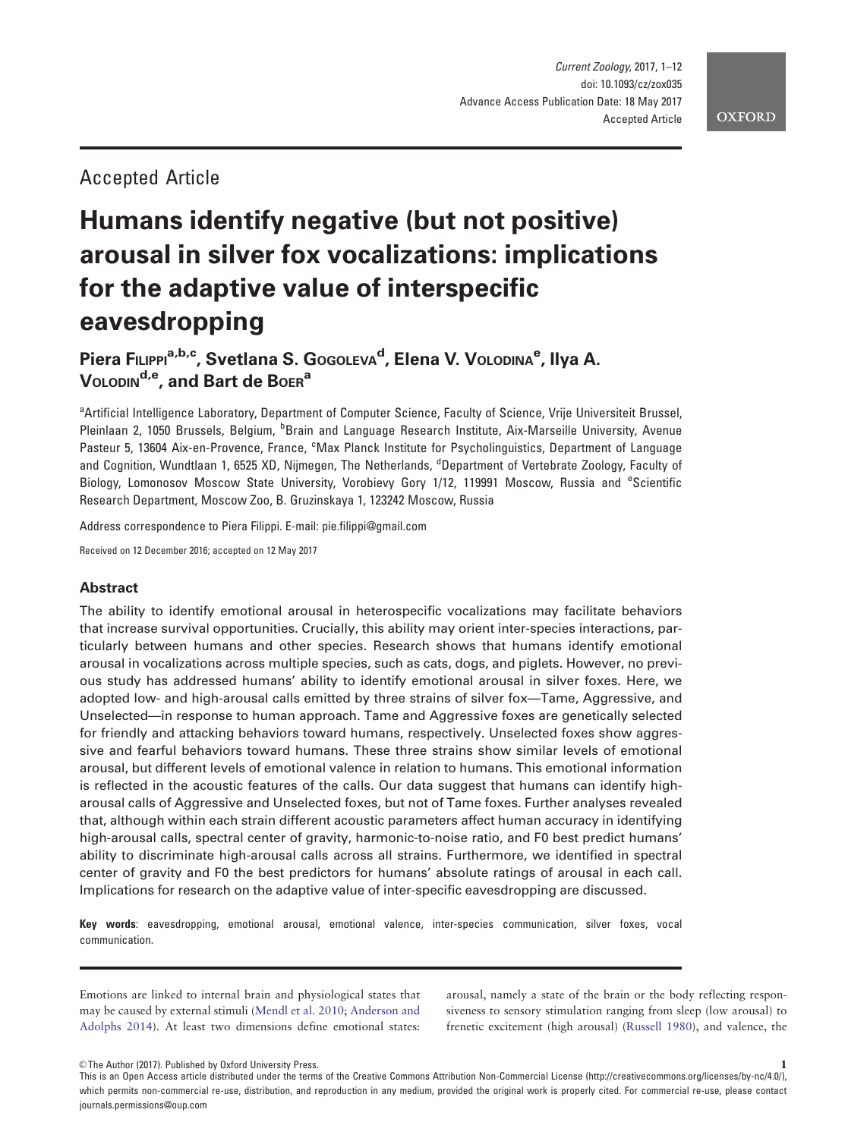# Accepted Article

# Humans identify negative (but not positive) arousal in silver fox vocalizations: implications for the adaptive value of interspecific eavesdropping

# Piera Filippi<sup>a,b,c</sup>, Svetlana S. Gogoleva<sup>d</sup>, Elena V. Volodina<sup>e</sup>, Ilya A. VOLODIN<sup>d,e</sup>, and Bart de BOER<sup>a</sup>

<sup>a</sup>Artificial Intelligence Laboratory, Department of Computer Science, Faculty of Science, Vrije Universiteit Brussel, Pleinlaan 2, 1050 Brussels, Belgium, <sup>b</sup>Brain and Language Research Institute, Aix-Marseille University, Avenue Pasteur 5, 13604 Aix-en-Provence, France, <sup>c</sup>Max Planck Institute for Psycholinguistics, Department of Language and Cognition, Wundtlaan 1, 6525 XD, Nijmegen, The Netherlands, <sup>d</sup>Department of Vertebrate Zoology, Faculty of Biology, Lomonosov Moscow State University, Vorobievy Gory 1/12, 119991 Moscow, Russia and <sup>e</sup>Scientific Research Department, Moscow Zoo, B. Gruzinskaya 1, 123242 Moscow, Russia

Address correspondence to Piera Filippi. E-mail: pie.filippi@gmail.com

Received on 12 December 2016; accepted on 12 May 2017

# Abstract

The ability to identify emotional arousal in heterospecific vocalizations may facilitate behaviors that increase survival opportunities. Crucially, this ability may orient inter-species interactions, particularly between humans and other species. Research shows that humans identify emotional arousal in vocalizations across multiple species, such as cats, dogs, and piglets. However, no previous study has addressed humans' ability to identify emotional arousal in silver foxes. Here, we adopted low- and high-arousal calls emitted by three strains of silver fox—Tame, Aggressive, and Unselected—in response to human approach. Tame and Aggressive foxes are genetically selected for friendly and attacking behaviors toward humans, respectively. Unselected foxes show aggressive and fearful behaviors toward humans. These three strains show similar levels of emotional arousal, but different levels of emotional valence in relation to humans. This emotional information is reflected in the acoustic features of the calls. Our data suggest that humans can identify higharousal calls of Aggressive and Unselected foxes, but not of Tame foxes. Further analyses revealed that, although within each strain different acoustic parameters affect human accuracy in identifying high-arousal calls, spectral center of gravity, harmonic-to-noise ratio, and F0 best predict humans' ability to discriminate high-arousal calls across all strains. Furthermore, we identified in spectral center of gravity and F0 the best predictors for humans' absolute ratings of arousal in each call. Implications for research on the adaptive value of inter-specific eavesdropping are discussed.

Key words: eavesdropping, emotional arousal, emotional valence, inter-species communication, silver foxes, vocal communication.

Emotions are linked to internal brain and physiological states that may be caused by external stimuli [\(Mendl et al. 2010](#page-10-0); [Anderson and](#page-9-0) [Adolphs 2014\)](#page-9-0). At least two dimensions define emotional states: arousal, namely a state of the brain or the body reflecting responsiveness to sensory stimulation ranging from sleep (low arousal) to frenetic excitement (high arousal) [\(Russell 1980](#page-10-0)), and valence, the

 $\circledR$  The Author (2017). Published by Oxford University Press. 1

This is an Open Access article distributed under the terms of the Creative Commons Attribution Non-Commercial License (http://creativecommons.org/licenses/by-nc/4.0/), which permits non-commercial re-use, distribution, and reproduction in any medium, provided the original work is properly cited. For commercial re-use, please contact journals.permissions@oup.com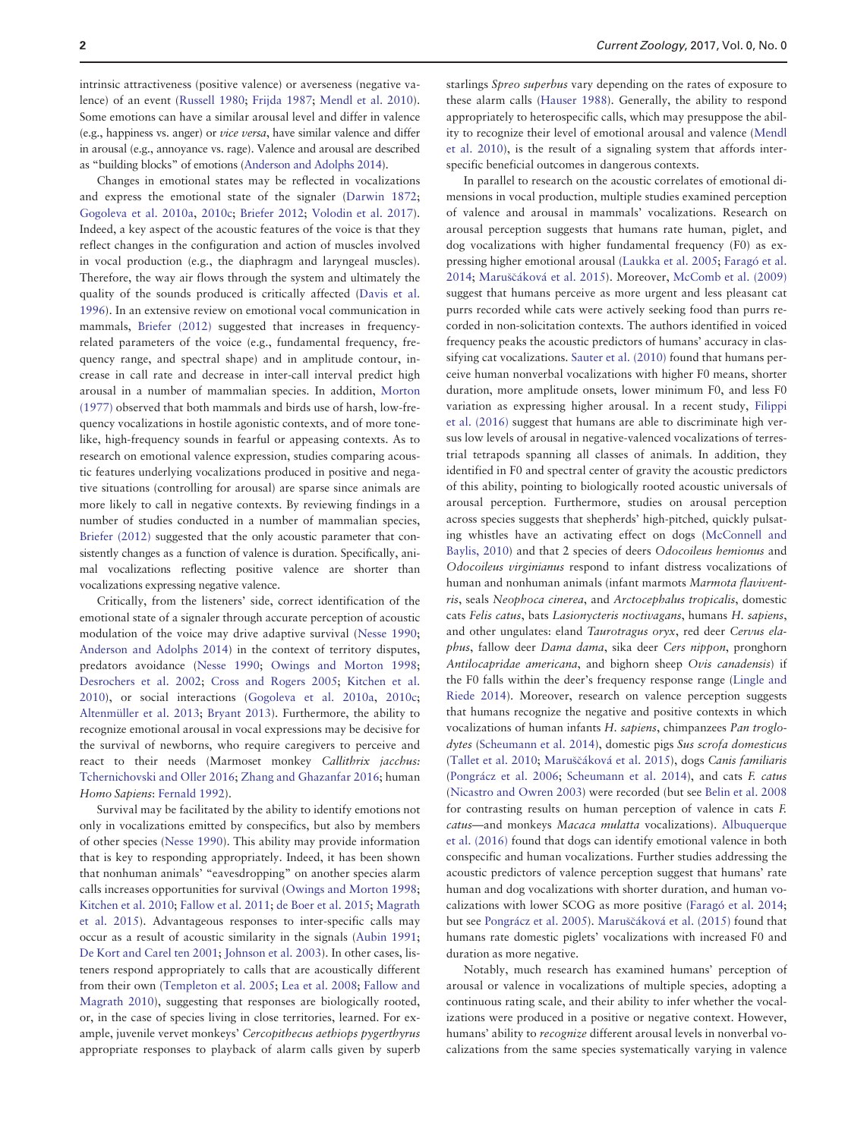intrinsic attractiveness (positive valence) or averseness (negative valence) of an event [\(Russell 1980](#page-10-0); [Frijda 1987](#page-9-0); [Mendl et al. 2010\)](#page-10-0). Some emotions can have a similar arousal level and differ in valence (e.g., happiness vs. anger) or vice versa, have similar valence and differ in arousal (e.g., annoyance vs. rage). Valence and arousal are described as "building blocks" of emotions ([Anderson and Adolphs 2014](#page-9-0)).

Changes in emotional states may be reflected in vocalizations and express the emotional state of the signaler ([Darwin 1872](#page-9-0); [Gogoleva et al. 2010a](#page-9-0), [2010c;](#page-10-0) [Briefer 2012;](#page-9-0) [Volodin et al. 2017\)](#page-11-0). Indeed, a key aspect of the acoustic features of the voice is that they reflect changes in the configuration and action of muscles involved in vocal production (e.g., the diaphragm and laryngeal muscles). Therefore, the way air flows through the system and ultimately the quality of the sounds produced is critically affected ([Davis et al.](#page-9-0) [1996](#page-9-0)). In an extensive review on emotional vocal communication in mammals, [Briefer \(2012\)](#page-9-0) suggested that increases in frequencyrelated parameters of the voice (e.g., fundamental frequency, frequency range, and spectral shape) and in amplitude contour, increase in call rate and decrease in inter-call interval predict high arousal in a number of mammalian species. In addition, [Morton](#page-10-0) [\(1977\)](#page-10-0) observed that both mammals and birds use of harsh, low-frequency vocalizations in hostile agonistic contexts, and of more tonelike, high-frequency sounds in fearful or appeasing contexts. As to research on emotional valence expression, studies comparing acoustic features underlying vocalizations produced in positive and negative situations (controlling for arousal) are sparse since animals are more likely to call in negative contexts. By reviewing findings in a number of studies conducted in a number of mammalian species, [Briefer \(2012\)](#page-9-0) suggested that the only acoustic parameter that consistently changes as a function of valence is duration. Specifically, animal vocalizations reflecting positive valence are shorter than vocalizations expressing negative valence.

Critically, from the listeners' side, correct identification of the emotional state of a signaler through accurate perception of acoustic modulation of the voice may drive adaptive survival ([Nesse 1990](#page-10-0); [Anderson and Adolphs 2014\)](#page-9-0) in the context of territory disputes, predators avoidance [\(Nesse 1990](#page-10-0); [Owings and Morton 1998](#page-10-0); [Desrochers et al. 2002](#page-9-0); [Cross and Rogers 2005;](#page-9-0) [Kitchen et al.](#page-10-0) [2010](#page-10-0)), or social interactions [\(Gogoleva et al. 2010a](#page-9-0), [2010c](#page-10-0); Altenmüller et al. 2013; [Bryant 2013](#page-9-0)). Furthermore, the ability to recognize emotional arousal in vocal expressions may be decisive for the survival of newborns, who require caregivers to perceive and react to their needs (Marmoset monkey Callithrix jacchus: [Tchernichovski and Oller 2016](#page-10-0); [Zhang and Ghazanfar 2016;](#page-11-0) human Homo Sapiens: [Fernald 1992](#page-9-0)).

Survival may be facilitated by the ability to identify emotions not only in vocalizations emitted by conspecifics, but also by members of other species [\(Nesse 1990](#page-10-0)). This ability may provide information that is key to responding appropriately. Indeed, it has been shown that nonhuman animals' "eavesdropping" on another species alarm calls increases opportunities for survival [\(Owings and Morton 1998](#page-10-0); [Kitchen et al. 2010;](#page-10-0) [Fallow et al. 2011;](#page-9-0) [de Boer et al. 2015](#page-9-0); [Magrath](#page-10-0) [et al. 2015\)](#page-10-0). Advantageous responses to inter-specific calls may occur as a result of acoustic similarity in the signals ([Aubin 1991](#page-9-0); [De Kort and Carel ten 2001](#page-9-0); [Johnson et al. 2003\)](#page-10-0). In other cases, listeners respond appropriately to calls that are acoustically different from their own [\(Templeton et al. 2005;](#page-10-0) [Lea et al. 2008](#page-10-0); [Fallow and](#page-9-0) [Magrath 2010\)](#page-9-0), suggesting that responses are biologically rooted, or, in the case of species living in close territories, learned. For example, juvenile vervet monkeys' Cercopithecus aethiops pygerthyrus appropriate responses to playback of alarm calls given by superb

starlings Spreo superbus vary depending on the rates of exposure to these alarm calls [\(Hauser 1988](#page-10-0)). Generally, the ability to respond appropriately to heterospecific calls, which may presuppose the ability to recognize their level of emotional arousal and valence [\(Mendl](#page-10-0) [et al. 2010\)](#page-10-0), is the result of a signaling system that affords interspecific beneficial outcomes in dangerous contexts.

In parallel to research on the acoustic correlates of emotional dimensions in vocal production, multiple studies examined perception of valence and arousal in mammals' vocalizations. Research on arousal perception suggests that humans rate human, piglet, and dog vocalizations with higher fundamental frequency (F0) as ex-pressing higher emotional arousal ([Laukka et al. 2005](#page-10-0); Faragó et al. [2014](#page-9-0); [Maru](#page-10-0)ščáková [et al. 2015](#page-10-0)). Moreover, [McComb et al. \(2009\)](#page-10-0) suggest that humans perceive as more urgent and less pleasant cat purrs recorded while cats were actively seeking food than purrs recorded in non-solicitation contexts. The authors identified in voiced frequency peaks the acoustic predictors of humans' accuracy in classifying cat vocalizations. [Sauter et al. \(2010\)](#page-10-0) found that humans perceive human nonverbal vocalizations with higher F0 means, shorter duration, more amplitude onsets, lower minimum F0, and less F0 variation as expressing higher arousal. In a recent study, [Filippi](#page-9-0) [et al. \(2016\)](#page-9-0) suggest that humans are able to discriminate high versus low levels of arousal in negative-valenced vocalizations of terrestrial tetrapods spanning all classes of animals. In addition, they identified in F0 and spectral center of gravity the acoustic predictors of this ability, pointing to biologically rooted acoustic universals of arousal perception. Furthermore, studies on arousal perception across species suggests that shepherds' high-pitched, quickly pulsating whistles have an activating effect on dogs ([McConnell and](#page-10-0) [Baylis, 2010\)](#page-10-0) and that 2 species of deers Odocoileus hemionus and Odocoileus virginianus respond to infant distress vocalizations of human and nonhuman animals (infant marmots Marmota flaviventris, seals Neophoca cinerea, and Arctocephalus tropicalis, domestic cats Felis catus, bats Lasionycteris noctivagans, humans H. sapiens, and other ungulates: eland Taurotragus oryx, red deer Cervus elaphus, fallow deer Dama dama, sika deer Cers nippon, pronghorn Antilocapridae americana, and bighorn sheep Ovis canadensis) if the F0 falls within the deer's frequency response range ([Lingle and](#page-10-0) [Riede 2014\)](#page-10-0). Moreover, research on valence perception suggests that humans recognize the negative and positive contexts in which vocalizations of human infants H. sapiens, chimpanzees Pan troglodytes [\(Scheumann et al. 2014\)](#page-10-0), domestic pigs Sus scrofa domesticus [\(Tallet et al. 2010](#page-10-0); [Maru](#page-10-0)ščá[kov](#page-10-0)á [et al. 2015\)](#page-10-0), dogs Canis familiaris [\(Pongr](#page-10-0)á[cz et al. 2006;](#page-10-0) [Scheumann et al. 2014\)](#page-10-0), and cats F. catus [\(Nicastro and Owren 2003\)](#page-10-0) were recorded (but see [Belin et al. 2008](#page-9-0) for contrasting results on human perception of valence in cats F. catus—and monkeys Macaca mulatta vocalizations). [Albuquerque](#page-9-0) [et al. \(2016\)](#page-9-0) found that dogs can identify emotional valence in both conspecific and human vocalizations. Further studies addressing the acoustic predictors of valence perception suggest that humans' rate human and dog vocalizations with shorter duration, and human vo-calizations with lower SCOG as more positive ([Farag](#page-9-0)ó [et al. 2014](#page-9-0); but see [Pongr](#page-10-0)ácz et al. 2005). [Maru](#page-10-0)ščá[kov](#page-10-0)á [et al. \(2015\)](#page-10-0) found that humans rate domestic piglets' vocalizations with increased F0 and duration as more negative.

Notably, much research has examined humans' perception of arousal or valence in vocalizations of multiple species, adopting a continuous rating scale, and their ability to infer whether the vocalizations were produced in a positive or negative context. However, humans' ability to recognize different arousal levels in nonverbal vocalizations from the same species systematically varying in valence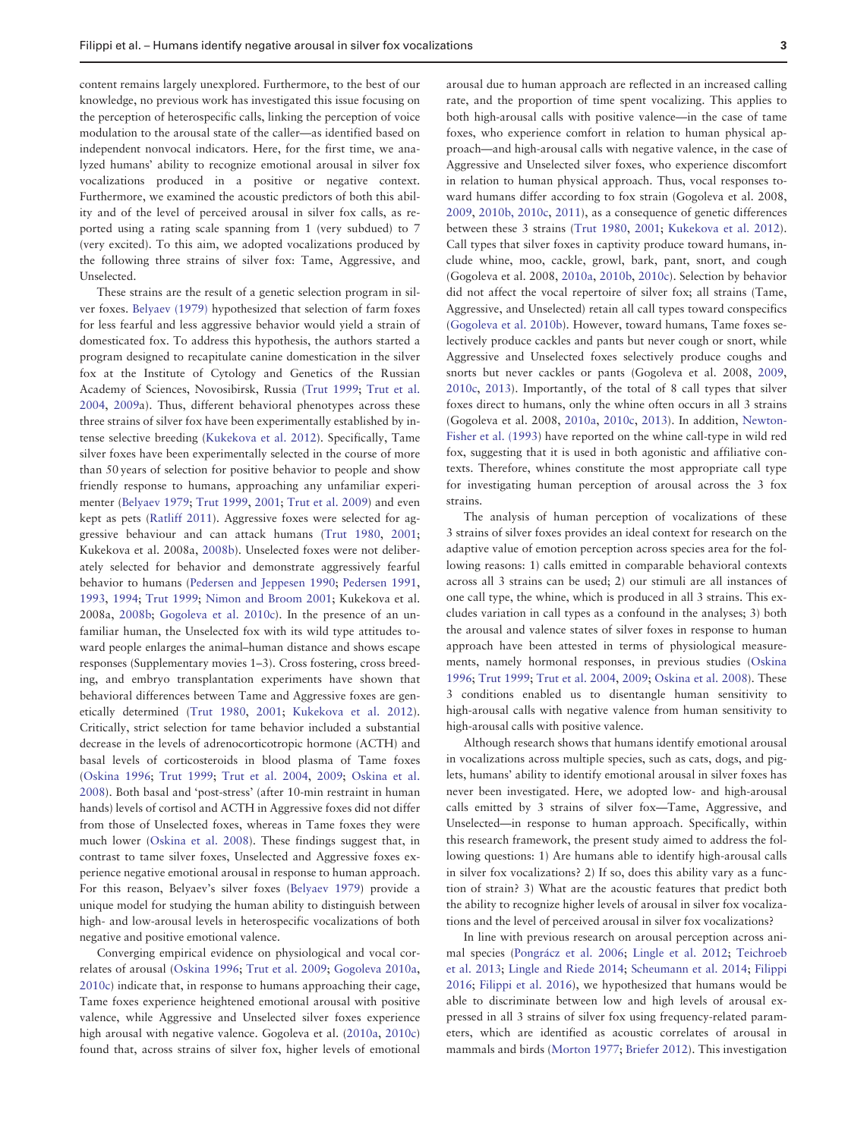content remains largely unexplored. Furthermore, to the best of our knowledge, no previous work has investigated this issue focusing on the perception of heterospecific calls, linking the perception of voice modulation to the arousal state of the caller—as identified based on independent nonvocal indicators. Here, for the first time, we analyzed humans' ability to recognize emotional arousal in silver fox vocalizations produced in a positive or negative context. Furthermore, we examined the acoustic predictors of both this ability and of the level of perceived arousal in silver fox calls, as reported using a rating scale spanning from 1 (very subdued) to 7 (very excited). To this aim, we adopted vocalizations produced by the following three strains of silver fox: Tame, Aggressive, and Unselected.

These strains are the result of a genetic selection program in silver foxes. [Belyaev \(1979\)](#page-9-0) hypothesized that selection of farm foxes for less fearful and less aggressive behavior would yield a strain of domesticated fox. To address this hypothesis, the authors started a program designed to recapitulate canine domestication in the silver fox at the Institute of Cytology and Genetics of the Russian Academy of Sciences, Novosibirsk, Russia ([Trut 1999](#page-11-0); [Trut et al.](#page-11-0) [2004](#page-11-0), [2009a](#page-11-0)). Thus, different behavioral phenotypes across these three strains of silver fox have been experimentally established by intense selective breeding [\(Kukekova et al. 2012](#page-10-0)). Specifically, Tame silver foxes have been experimentally selected in the course of more than 50 years of selection for positive behavior to people and show friendly response to humans, approaching any unfamiliar experimenter ([Belyaev 1979](#page-9-0); [Trut 1999](#page-11-0), [2001;](#page-11-0) [Trut et al. 2009\)](#page-11-0) and even kept as pets ([Ratliff 2011\)](#page-10-0). Aggressive foxes were selected for aggressive behaviour and can attack humans ([Trut 1980](#page-10-0), [2001](#page-11-0); Kukekova et al. 2008a, [2008b](#page-10-0)). Unselected foxes were not deliberately selected for behavior and demonstrate aggressively fearful behavior to humans ([Pedersen and Jeppesen 1990](#page-10-0); [Pedersen 1991](#page-10-0), [1993](#page-10-0), [1994](#page-10-0); [Trut 1999](#page-11-0); [Nimon and Broom 2001](#page-10-0); Kukekova et al. 2008a, [2008b;](#page-10-0) [Gogoleva et al. 2010c\)](#page-10-0). In the presence of an unfamiliar human, the Unselected fox with its wild type attitudes toward people enlarges the animal–human distance and shows escape responses (Supplementary movies 1–3). Cross fostering, cross breeding, and embryo transplantation experiments have shown that behavioral differences between Tame and Aggressive foxes are genetically determined ([Trut 1980,](#page-10-0) [2001;](#page-11-0) [Kukekova et al. 2012\)](#page-10-0). Critically, strict selection for tame behavior included a substantial decrease in the levels of adrenocorticotropic hormone (ACTH) and basal levels of corticosteroids in blood plasma of Tame foxes [\(Oskina 1996](#page-10-0); [Trut 1999](#page-11-0); [Trut et al. 2004,](#page-11-0) [2009](#page-11-0); [Oskina et al.](#page-10-0) [2008](#page-10-0)). Both basal and 'post-stress' (after 10-min restraint in human hands) levels of cortisol and ACTH in Aggressive foxes did not differ from those of Unselected foxes, whereas in Tame foxes they were much lower [\(Oskina et al. 2008\)](#page-10-0). These findings suggest that, in contrast to tame silver foxes, Unselected and Aggressive foxes experience negative emotional arousal in response to human approach. For this reason, Belyaev's silver foxes [\(Belyaev 1979](#page-9-0)) provide a unique model for studying the human ability to distinguish between high- and low-arousal levels in heterospecific vocalizations of both negative and positive emotional valence.

Converging empirical evidence on physiological and vocal correlates of arousal [\(Oskina 1996](#page-10-0); [Trut et al. 2009;](#page-11-0) [Gogoleva 2010a](#page-9-0), [2010c\)](#page-10-0) indicate that, in response to humans approaching their cage, Tame foxes experience heightened emotional arousal with positive valence, while Aggressive and Unselected silver foxes experience high arousal with negative valence. Gogoleva et al. [\(2010a,](#page-9-0) [2010c\)](#page-10-0) found that, across strains of silver fox, higher levels of emotional

arousal due to human approach are reflected in an increased calling rate, and the proportion of time spent vocalizing. This applies to both high-arousal calls with positive valence—in the case of tame foxes, who experience comfort in relation to human physical approach—and high-arousal calls with negative valence, in the case of Aggressive and Unselected silver foxes, who experience discomfort in relation to human physical approach. Thus, vocal responses toward humans differ according to fox strain (Gogoleva et al. 2008, [2009](#page-9-0), [2010b, 2010c,](#page-10-0) [2011](#page-10-0)), as a consequence of genetic differences between these 3 strains [\(Trut 1980,](#page-10-0) [2001;](#page-11-0) [Kukekova et al. 2012\)](#page-10-0). Call types that silver foxes in captivity produce toward humans, include whine, moo, cackle, growl, bark, pant, snort, and cough (Gogoleva et al. 2008, [2010a](#page-9-0), [2010b,](#page-10-0) [2010c\)](#page-10-0). Selection by behavior did not affect the vocal repertoire of silver fox; all strains (Tame, Aggressive, and Unselected) retain all call types toward conspecifics [\(Gogoleva et al. 2010b](#page-10-0)). However, toward humans, Tame foxes selectively produce cackles and pants but never cough or snort, while Aggressive and Unselected foxes selectively produce coughs and snorts but never cackles or pants (Gogoleva et al. 2008, [2009](#page-9-0), [2010c,](#page-10-0) [2013](#page-10-0)). Importantly, of the total of 8 call types that silver foxes direct to humans, only the whine often occurs in all 3 strains (Gogoleva et al. 2008, [2010a,](#page-9-0) [2010c,](#page-10-0) [2013\)](#page-10-0). In addition, [Newton-](#page-10-0)[Fisher et al. \(1993](#page-10-0)) have reported on the whine call-type in wild red fox, suggesting that it is used in both agonistic and affiliative contexts. Therefore, whines constitute the most appropriate call type for investigating human perception of arousal across the 3 fox strains.

The analysis of human perception of vocalizations of these 3 strains of silver foxes provides an ideal context for research on the adaptive value of emotion perception across species area for the following reasons: 1) calls emitted in comparable behavioral contexts across all 3 strains can be used; 2) our stimuli are all instances of one call type, the whine, which is produced in all 3 strains. This excludes variation in call types as a confound in the analyses; 3) both the arousal and valence states of silver foxes in response to human approach have been attested in terms of physiological measurements, namely hormonal responses, in previous studies ([Oskina](#page-10-0) [1996](#page-10-0); [Trut 1999](#page-11-0); [Trut et al. 2004](#page-11-0), [2009](#page-11-0); [Oskina et al. 2008\)](#page-10-0). These 3 conditions enabled us to disentangle human sensitivity to high-arousal calls with negative valence from human sensitivity to high-arousal calls with positive valence.

Although research shows that humans identify emotional arousal in vocalizations across multiple species, such as cats, dogs, and piglets, humans' ability to identify emotional arousal in silver foxes has never been investigated. Here, we adopted low- and high-arousal calls emitted by 3 strains of silver fox—Tame, Aggressive, and Unselected—in response to human approach. Specifically, within this research framework, the present study aimed to address the following questions: 1) Are humans able to identify high-arousal calls in silver fox vocalizations? 2) If so, does this ability vary as a function of strain? 3) What are the acoustic features that predict both the ability to recognize higher levels of arousal in silver fox vocalizations and the level of perceived arousal in silver fox vocalizations?

In line with previous research on arousal perception across ani-mal species [\(Pongr](#page-10-0)á[cz et al. 2006;](#page-10-0) [Lingle et al. 2012;](#page-10-0) [Teichroeb](#page-10-0) [et al. 2013](#page-10-0); [Lingle and Riede 2014;](#page-10-0) [Scheumann et al. 2014;](#page-10-0) [Filippi](#page-9-0) [2016](#page-9-0); [Filippi et al. 2016\)](#page-9-0), we hypothesized that humans would be able to discriminate between low and high levels of arousal expressed in all 3 strains of silver fox using frequency-related parameters, which are identified as acoustic correlates of arousal in mammals and birds ([Morton 1977](#page-10-0); [Briefer 2012\)](#page-9-0). This investigation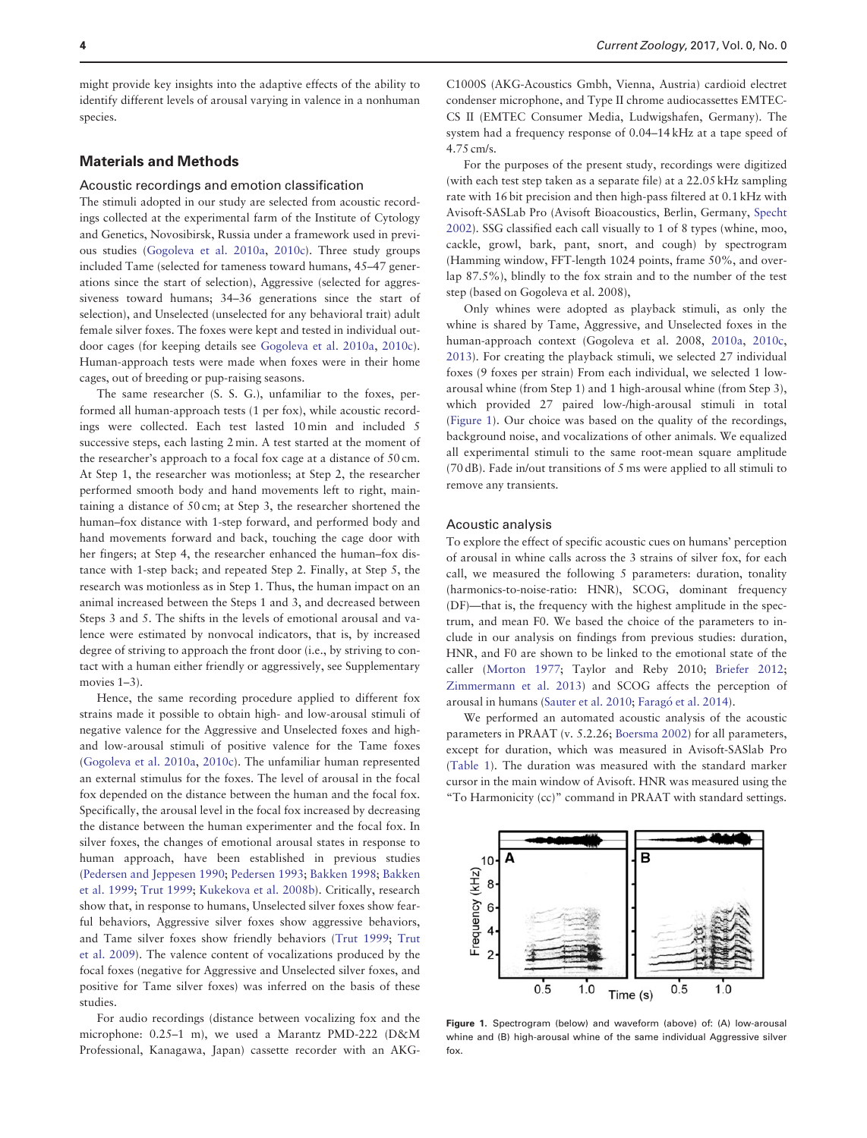might provide key insights into the adaptive effects of the ability to identify different levels of arousal varying in valence in a nonhuman species.

# Materials and Methods

#### Acoustic recordings and emotion classification

The stimuli adopted in our study are selected from acoustic recordings collected at the experimental farm of the Institute of Cytology and Genetics, Novosibirsk, Russia under a framework used in previous studies ([Gogoleva et al. 2010a](#page-9-0), [2010c\)](#page-10-0). Three study groups included Tame (selected for tameness toward humans, 45–47 generations since the start of selection), Aggressive (selected for aggressiveness toward humans; 34–36 generations since the start of selection), and Unselected (unselected for any behavioral trait) adult female silver foxes. The foxes were kept and tested in individual outdoor cages (for keeping details see [Gogoleva et al. 2010a](#page-9-0), [2010c\)](#page-10-0). Human-approach tests were made when foxes were in their home cages, out of breeding or pup-raising seasons.

The same researcher (S. S. G.), unfamiliar to the foxes, performed all human-approach tests (1 per fox), while acoustic recordings were collected. Each test lasted 10 min and included 5 successive steps, each lasting 2 min. A test started at the moment of the researcher's approach to a focal fox cage at a distance of 50 cm. At Step 1, the researcher was motionless; at Step 2, the researcher performed smooth body and hand movements left to right, maintaining a distance of 50 cm; at Step 3, the researcher shortened the human–fox distance with 1-step forward, and performed body and hand movements forward and back, touching the cage door with her fingers; at Step 4, the researcher enhanced the human–fox distance with 1-step back; and repeated Step 2. Finally, at Step 5, the research was motionless as in Step 1. Thus, the human impact on an animal increased between the Steps 1 and 3, and decreased between Steps 3 and 5. The shifts in the levels of emotional arousal and valence were estimated by nonvocal indicators, that is, by increased degree of striving to approach the front door (i.e., by striving to contact with a human either friendly or aggressively, see Supplementary movies 1–3).

Hence, the same recording procedure applied to different fox strains made it possible to obtain high- and low-arousal stimuli of negative valence for the Aggressive and Unselected foxes and highand low-arousal stimuli of positive valence for the Tame foxes [\(Gogoleva et al. 2010a](#page-9-0), [2010c\)](#page-10-0). The unfamiliar human represented an external stimulus for the foxes. The level of arousal in the focal fox depended on the distance between the human and the focal fox. Specifically, the arousal level in the focal fox increased by decreasing the distance between the human experimenter and the focal fox. In silver foxes, the changes of emotional arousal states in response to human approach, have been established in previous studies [\(Pedersen and Jeppesen 1990](#page-10-0); [Pedersen 1993;](#page-10-0) [Bakken 1998;](#page-9-0) [Bakken](#page-9-0) [et al. 1999;](#page-9-0) [Trut 1999](#page-11-0); [Kukekova et al. 2008b](#page-10-0)). Critically, research show that, in response to humans, Unselected silver foxes show fearful behaviors, Aggressive silver foxes show aggressive behaviors, and Tame silver foxes show friendly behaviors [\(Trut 1999](#page-11-0); [Trut](#page-11-0) [et al. 2009\)](#page-11-0). The valence content of vocalizations produced by the focal foxes (negative for Aggressive and Unselected silver foxes, and positive for Tame silver foxes) was inferred on the basis of these studies.

For audio recordings (distance between vocalizing fox and the microphone: 0.25–1 m), we used a Marantz PMD-222 (D&M Professional, Kanagawa, Japan) cassette recorder with an AKG-

C1000S (AKG-Acoustics Gmbh, Vienna, Austria) cardioid electret condenser microphone, and Type II chrome audiocassettes EMTEC-CS II (EMTEC Consumer Media, Ludwigshafen, Germany). The system had a frequency response of 0.04–14 kHz at a tape speed of 4.75 cm/s.

For the purposes of the present study, recordings were digitized (with each test step taken as a separate file) at a 22.05 kHz sampling rate with 16 bit precision and then high-pass filtered at 0.1 kHz with Avisoft-SASLab Pro (Avisoft Bioacoustics, Berlin, Germany, [Specht](#page-10-0) [2002](#page-10-0)). SSG classified each call visually to 1 of 8 types (whine, moo, cackle, growl, bark, pant, snort, and cough) by spectrogram (Hamming window, FFT-length 1024 points, frame 50%, and overlap 87.5%), blindly to the fox strain and to the number of the test step (based on Gogoleva et al. 2008),

Only whines were adopted as playback stimuli, as only the whine is shared by Tame, Aggressive, and Unselected foxes in the human-approach context (Gogoleva et al. 2008, [2010a](#page-9-0), [2010c](#page-10-0), [2013](#page-10-0)). For creating the playback stimuli, we selected 27 individual foxes (9 foxes per strain) From each individual, we selected 1 lowarousal whine (from Step 1) and 1 high-arousal whine (from Step 3), which provided 27 paired low-/high-arousal stimuli in total (Figure 1). Our choice was based on the quality of the recordings, background noise, and vocalizations of other animals. We equalized all experimental stimuli to the same root-mean square amplitude (70 dB). Fade in/out transitions of 5 ms were applied to all stimuli to remove any transients.

#### Acoustic analysis

To explore the effect of specific acoustic cues on humans' perception of arousal in whine calls across the 3 strains of silver fox, for each call, we measured the following 5 parameters: duration, tonality (harmonics-to-noise-ratio: HNR), SCOG, dominant frequency (DF)—that is, the frequency with the highest amplitude in the spectrum, and mean F0. We based the choice of the parameters to include in our analysis on findings from previous studies: duration, HNR, and F0 are shown to be linked to the emotional state of the caller [\(Morton 1977;](#page-10-0) Taylor and Reby 2010; [Briefer 2012](#page-9-0); [Zimmermann et al. 2013\)](#page-11-0) and SCOG affects the perception of arousal in humans [\(Sauter et al. 2010](#page-10-0); Faragó et al. 2014).

We performed an automated acoustic analysis of the acoustic parameters in PRAAT (v. 5.2.26; [Boersma 2002](#page-9-0)) for all parameters, except for duration, which was measured in Avisoft-SASlab Pro [\(Table 1\)](#page-4-0). The duration was measured with the standard marker cursor in the main window of Avisoft. HNR was measured using the "To Harmonicity (cc)" command in PRAAT with standard settings.



Figure 1. Spectrogram (below) and waveform (above) of: (A) low-arousal whine and (B) high-arousal whine of the same individual Aggressive silver fox.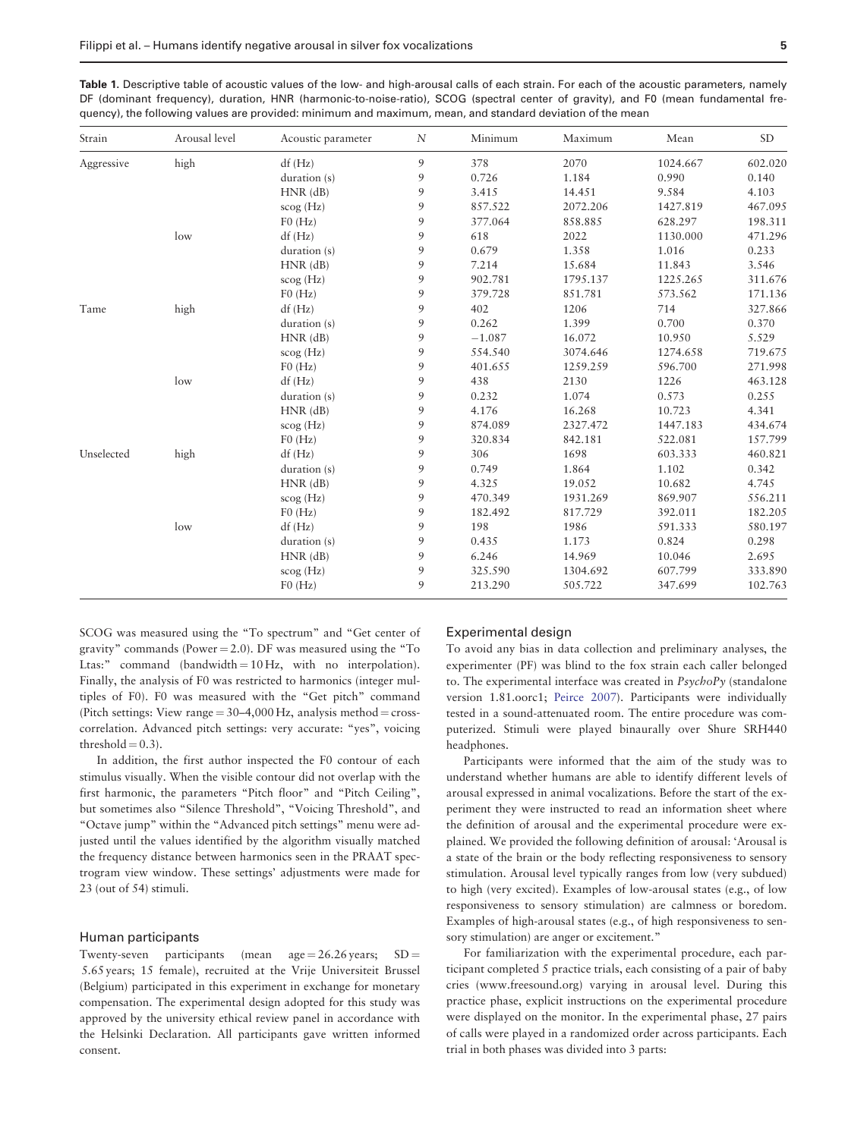<span id="page-4-0"></span>Table 1. Descriptive table of acoustic values of the low- and high-arousal calls of each strain. For each of the acoustic parameters, namely DF (dominant frequency), duration, HNR (harmonic-to-noise-ratio), SCOG (spectral center of gravity), and F0 (mean fundamental frequency), the following values are provided: minimum and maximum, mean, and standard deviation of the mean

| Strain     | Arousal level | Acoustic parameter | $\boldsymbol{N}$ | Minimum  | Maximum  | Mean                                                                            | <b>SD</b> |
|------------|---------------|--------------------|------------------|----------|----------|---------------------------------------------------------------------------------|-----------|
| Aggressive | high          | df(Hz)             | 9                | 378      | 2070     | 1024.667                                                                        | 602.020   |
|            |               | duration (s)       | 9                | 0.726    | 1.184    | 0.990                                                                           | 0.140     |
|            |               | $HNR$ ( $dB$ )     | 9                | 3.415    | 14.451   | 9.584                                                                           | 4.103     |
|            |               | $s \cos(Hz)$       | 9                | 857.522  | 2072.206 | 1427.819                                                                        | 467.095   |
|            |               | $F0$ (Hz)          | 9                | 377.064  | 858.885  | 628.297                                                                         | 198.311   |
|            | low           | df(Hz)             | 9                | 618      | 2022     | 1130.000                                                                        | 471.296   |
|            |               | duration (s)       | 9                | 0.679    | 1.358    | 1.016                                                                           | 0.233     |
|            |               | $HNR$ ( $dB$ )     | 9                | 7.214    | 15.684   | 11.843                                                                          | 3.546     |
|            |               | $s \cos(Hz)$       | 9                | 902.781  | 1795.137 | 1225.265                                                                        | 311.676   |
|            |               | F0(Hz)             | $\boldsymbol{9}$ | 379.728  | 851.781  | 573.562                                                                         | 171.136   |
| Tame       | high          | df(Hz)             | $\overline{9}$   | 402      | 1206     | 714                                                                             | 327.866   |
|            |               | duration (s)       | 9                | 0.262    | 1.399    | 0.700                                                                           | 0.370     |
|            |               | $HNR$ ( $dB$ )     | 9                | $-1.087$ | 16.072   | 10.950                                                                          | 5.529     |
|            |               | $s \cos(Hz)$       | $\overline{9}$   | 554.540  | 3074.646 | 1274.658                                                                        | 719.675   |
|            |               | FO(Hz)             | 9                | 401.655  | 1259.259 | 596.700                                                                         | 271.998   |
|            | low           | df(Hz)             | 9                | 438      | 2130     | 1226                                                                            | 463.128   |
|            |               | duration (s)       | $\overline{9}$   | 0.232    | 1.074    | 0.573                                                                           | 0.255     |
|            |               | $HNR$ ( $dB$ )     | 9                | 4.176    | 16.268   | 10.723                                                                          | 4.341     |
|            |               | $s \cos(Hz)$       | 9                | 874.089  | 2327.472 | 1447.183                                                                        | 434.674   |
|            |               | F0(Hz)             | $\overline{9}$   | 320.834  | 842.181  | 522.081<br>603.333<br>1.102<br>10.682<br>869.907<br>392.011<br>591.333<br>0.824 | 157.799   |
| Unselected | high          | df(Hz)             | $\overline{9}$   | 306      | 1698     |                                                                                 | 460.821   |
|            |               | duration (s)       | 9                | 0.749    | 1.864    |                                                                                 | 0.342     |
|            |               | $HNR$ ( $dB$ )     | 9                | 4.325    | 19.052   |                                                                                 | 4.745     |
|            |               | $s \cos(Hz)$       | $\overline{9}$   | 470.349  | 1931.269 |                                                                                 | 556.211   |
|            |               | $F0$ (Hz)          | 9                | 182.492  | 817.729  |                                                                                 | 182.205   |
|            | low           | df(Hz)             | 9                | 198      | 1986     |                                                                                 | 580.197   |
|            |               | duration (s)       | $\overline{9}$   | 0.435    | 1.173    |                                                                                 | 0.298     |
|            |               | $HNR$ ( $dB$ )     | 9                | 6.246    | 14.969   | 10.046                                                                          | 2.695     |
|            |               | $s \cos(Hz)$       | $\overline{9}$   | 325.590  | 1304.692 | 607.799                                                                         | 333.890   |
|            |               | FO(Hz)             | 9                | 213.290  | 505.722  | 347.699                                                                         | 102.763   |

SCOG was measured using the "To spectrum" and "Get center of gravity" commands (Power  $= 2.0$ ). DF was measured using the "To" Ltas:" command  $(bandwidth = 10 Hz, with no interpolation).$ Finally, the analysis of F0 was restricted to harmonics (integer multiples of F0). F0 was measured with the "Get pitch" command (Pitch settings: View range  $= 30-4,000$  Hz, analysis method  $=$  crosscorrelation. Advanced pitch settings: very accurate: "yes", voicing threshold  $= 0.3$ ).

In addition, the first author inspected the F0 contour of each stimulus visually. When the visible contour did not overlap with the first harmonic, the parameters "Pitch floor" and "Pitch Ceiling", but sometimes also "Silence Threshold", "Voicing Threshold", and "Octave jump" within the "Advanced pitch settings" menu were adjusted until the values identified by the algorithm visually matched the frequency distance between harmonics seen in the PRAAT spectrogram view window. These settings' adjustments were made for 23 (out of 54) stimuli.

#### Human participants

Twenty-seven participants (mean age =  $26.26$  years; SD = 5.65 years; 15 female), recruited at the Vrije Universiteit Brussel (Belgium) participated in this experiment in exchange for monetary compensation. The experimental design adopted for this study was approved by the university ethical review panel in accordance with the Helsinki Declaration. All participants gave written informed consent.

#### Experimental design

To avoid any bias in data collection and preliminary analyses, the experimenter (PF) was blind to the fox strain each caller belonged to. The experimental interface was created in  $Ps$ ycho $Py$  (standalone version 1.81.oorc1; [Peirce 2007](#page-10-0)). Participants were individually tested in a sound-attenuated room. The entire procedure was computerized. Stimuli were played binaurally over Shure SRH440 headphones.

Participants were informed that the aim of the study was to understand whether humans are able to identify different levels of arousal expressed in animal vocalizations. Before the start of the experiment they were instructed to read an information sheet where the definition of arousal and the experimental procedure were explained. We provided the following definition of arousal: 'Arousal is a state of the brain or the body reflecting responsiveness to sensory stimulation. Arousal level typically ranges from low (very subdued) to high (very excited). Examples of low-arousal states (e.g., of low responsiveness to sensory stimulation) are calmness or boredom. Examples of high-arousal states (e.g., of high responsiveness to sensory stimulation) are anger or excitement."

For familiarization with the experimental procedure, each participant completed 5 practice trials, each consisting of a pair of baby cries ([www.freesound.org\)](http://www.freesound.org) varying in arousal level. During this practice phase, explicit instructions on the experimental procedure were displayed on the monitor. In the experimental phase, 27 pairs of calls were played in a randomized order across participants. Each trial in both phases was divided into 3 parts: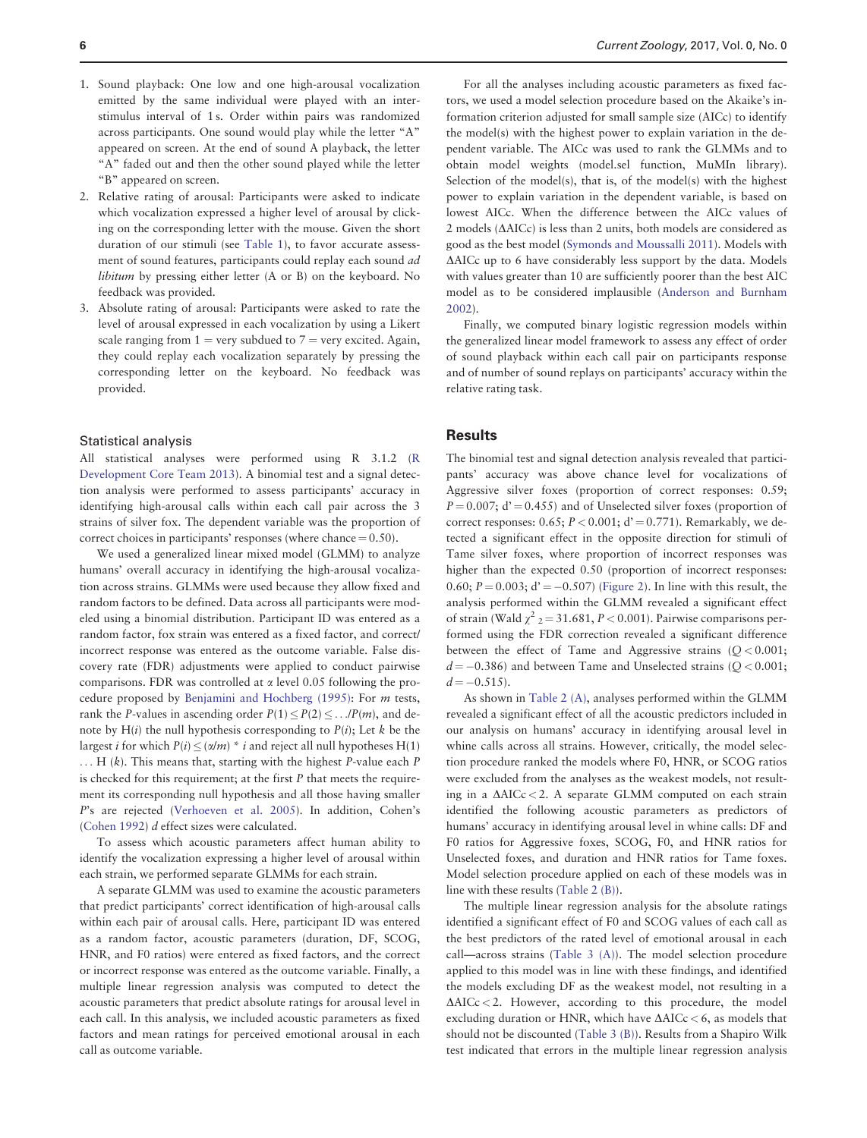- 1. Sound playback: One low and one high-arousal vocalization emitted by the same individual were played with an interstimulus interval of 1 s. Order within pairs was randomized across participants. One sound would play while the letter "A" appeared on screen. At the end of sound A playback, the letter "A" faded out and then the other sound played while the letter "B" appeared on screen.
- 2. Relative rating of arousal: Participants were asked to indicate which vocalization expressed a higher level of arousal by clicking on the corresponding letter with the mouse. Given the short duration of our stimuli (see [Table 1\)](#page-4-0), to favor accurate assessment of sound features, participants could replay each sound ad libitum by pressing either letter (A or B) on the keyboard. No feedback was provided.
- 3. Absolute rating of arousal: Participants were asked to rate the level of arousal expressed in each vocalization by using a Likert scale ranging from  $1 = \text{very subduced to } 7 = \text{very excited. Again,}$ they could replay each vocalization separately by pressing the corresponding letter on the keyboard. No feedback was provided.

#### Statistical analysis

All statistical analyses were performed using R 3.1.2 ([R](#page-10-0) [Development Core Team 2013](#page-10-0)). A binomial test and a signal detection analysis were performed to assess participants' accuracy in identifying high-arousal calls within each call pair across the 3 strains of silver fox. The dependent variable was the proportion of correct choices in participants' responses (where chance  $= 0.50$ ).

We used a generalized linear mixed model (GLMM) to analyze humans' overall accuracy in identifying the high-arousal vocalization across strains. GLMMs were used because they allow fixed and random factors to be defined. Data across all participants were modeled using a binomial distribution. Participant ID was entered as a random factor, fox strain was entered as a fixed factor, and correct/ incorrect response was entered as the outcome variable. False discovery rate (FDR) adjustments were applied to conduct pairwise comparisons. FDR was controlled at  $\alpha$  level 0.05 following the procedure proposed by [Benjamini and Hochberg \(1995\):](#page-9-0) For m tests, rank the *P*-values in ascending order  $P(1) \leq P(2) \leq \ldots$  /*P(m)*, and denote by  $H(i)$  the null hypothesis corresponding to  $P(i)$ ; Let k be the largest *i* for which  $P(i) \leq (\alpha/m)^* i$  and reject all null hypotheses H(1)  $\ldots$  H (k). This means that, starting with the highest P-value each P is checked for this requirement; at the first  $P$  that meets the requirement its corresponding null hypothesis and all those having smaller P's are rejected [\(Verhoeven et al. 2005](#page-11-0)). In addition, Cohen's [\(Cohen 1992](#page-9-0)) d effect sizes were calculated.

To assess which acoustic parameters affect human ability to identify the vocalization expressing a higher level of arousal within each strain, we performed separate GLMMs for each strain.

A separate GLMM was used to examine the acoustic parameters that predict participants' correct identification of high-arousal calls within each pair of arousal calls. Here, participant ID was entered as a random factor, acoustic parameters (duration, DF, SCOG, HNR, and F0 ratios) were entered as fixed factors, and the correct or incorrect response was entered as the outcome variable. Finally, a multiple linear regression analysis was computed to detect the acoustic parameters that predict absolute ratings for arousal level in each call. In this analysis, we included acoustic parameters as fixed factors and mean ratings for perceived emotional arousal in each call as outcome variable.

For all the analyses including acoustic parameters as fixed factors, we used a model selection procedure based on the Akaike's information criterion adjusted for small sample size (AICc) to identify the model(s) with the highest power to explain variation in the dependent variable. The AICc was used to rank the GLMMs and to obtain model weights (model.sel function, MuMIn library). Selection of the model(s), that is, of the model(s) with the highest power to explain variation in the dependent variable, is based on lowest AICc. When the difference between the AICc values of 2 models  $(AAICc)$  is less than 2 units, both models are considered as good as the best model [\(Symonds and Moussalli 2011](#page-10-0)). Models with DAICc up to 6 have considerably less support by the data. Models with values greater than 10 are sufficiently poorer than the best AIC model as to be considered implausible [\(Anderson and Burnham](#page-9-0) [2002](#page-9-0)).

Finally, we computed binary logistic regression models within the generalized linear model framework to assess any effect of order of sound playback within each call pair on participants response and of number of sound replays on participants' accuracy within the relative rating task.

# **Results**

The binomial test and signal detection analysis revealed that participants' accuracy was above chance level for vocalizations of Aggressive silver foxes (proportion of correct responses: 0.59;  $P = 0.007$ ; d' = 0.455) and of Unselected silver foxes (proportion of correct responses: 0.65;  $P < 0.001$ ; d' = 0.771). Remarkably, we detected a significant effect in the opposite direction for stimuli of Tame silver foxes, where proportion of incorrect responses was higher than the expected 0.50 (proportion of incorrect responses: 0.60;  $P = 0.003$ ;  $d' = -0.507$ ) ([Figure 2](#page-6-0)). In line with this result, the analysis performed within the GLMM revealed a significant effect of strain (Wald  $\chi^2$  2 = 31.681, P < 0.001). Pairwise comparisons performed using the FDR correction revealed a significant difference between the effect of Tame and Aggressive strains (Q < 0.001;  $d$  = –0.386) and between Tame and Unselected strains (Q < 0.001;  $d = -0.515$ .

As shown in [Table 2 \(A\),](#page-7-0) analyses performed within the GLMM revealed a significant effect of all the acoustic predictors included in our analysis on humans' accuracy in identifying arousal level in whine calls across all strains. However, critically, the model selection procedure ranked the models where F0, HNR, or SCOG ratios were excluded from the analyses as the weakest models, not resulting in a  $\Delta AICc < 2$ . A separate GLMM computed on each strain identified the following acoustic parameters as predictors of humans' accuracy in identifying arousal level in whine calls: DF and F0 ratios for Aggressive foxes, SCOG, F0, and HNR ratios for Unselected foxes, and duration and HNR ratios for Tame foxes. Model selection procedure applied on each of these models was in line with these results ([Table 2 \(B\)\)](#page-7-0).

The multiple linear regression analysis for the absolute ratings identified a significant effect of F0 and SCOG values of each call as the best predictors of the rated level of emotional arousal in each call—across strains [\(Table 3 \(A\)](#page-7-0)). The model selection procedure applied to this model was in line with these findings, and identified the models excluding DF as the weakest model, not resulting in a  $\Delta AICc < 2$ . However, according to this procedure, the model excluding duration or HNR, which have  $\Delta AICc < 6$ , as models that should not be discounted [\(Table 3 \(B\)\)](#page-7-0). Results from a Shapiro Wilk test indicated that errors in the multiple linear regression analysis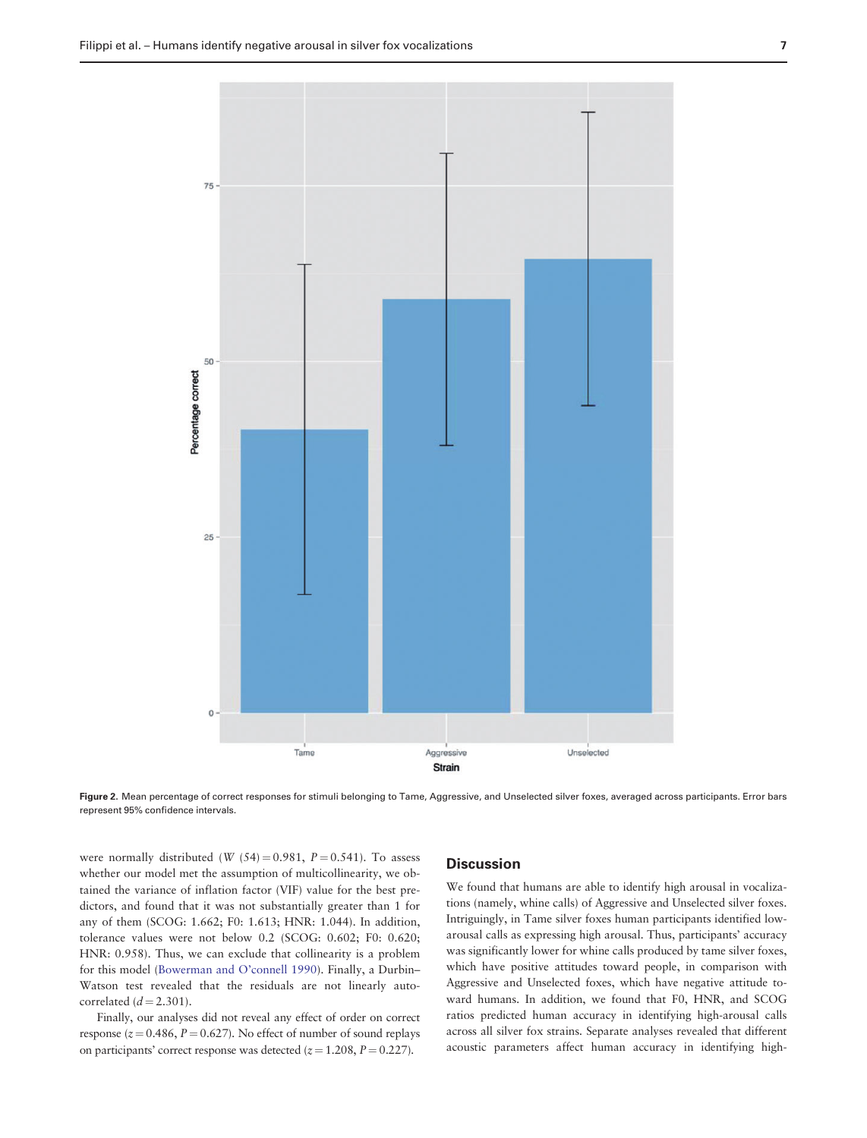<span id="page-6-0"></span>

Figure 2. Mean percentage of correct responses for stimuli belonging to Tame, Aggressive, and Unselected silver foxes, averaged across participants. Error bars represent 95% confidence intervals.

were normally distributed (W  $(54) = 0.981$ ,  $P = 0.541$ ). To assess whether our model met the assumption of multicollinearity, we obtained the variance of inflation factor (VIF) value for the best predictors, and found that it was not substantially greater than 1 for any of them (SCOG: 1.662; F0: 1.613; HNR: 1.044). In addition, tolerance values were not below 0.2 (SCOG: 0.602; F0: 0.620; HNR: 0.958). Thus, we can exclude that collinearity is a problem for this model ([Bowerman and O'connell 1990\)](#page-9-0). Finally, a Durbin– Watson test revealed that the residuals are not linearly autocorrelated  $(d = 2.301)$ .

Finally, our analyses did not reveal any effect of order on correct response ( $z = 0.486$ ,  $P = 0.627$ ). No effect of number of sound replays on participants' correct response was detected  $(z = 1.208, P = 0.227)$ .

#### **Discussion**

We found that humans are able to identify high arousal in vocalizations (namely, whine calls) of Aggressive and Unselected silver foxes. Intriguingly, in Tame silver foxes human participants identified lowarousal calls as expressing high arousal. Thus, participants' accuracy was significantly lower for whine calls produced by tame silver foxes, which have positive attitudes toward people, in comparison with Aggressive and Unselected foxes, which have negative attitude toward humans. In addition, we found that F0, HNR, and SCOG ratios predicted human accuracy in identifying high-arousal calls across all silver fox strains. Separate analyses revealed that different acoustic parameters affect human accuracy in identifying high-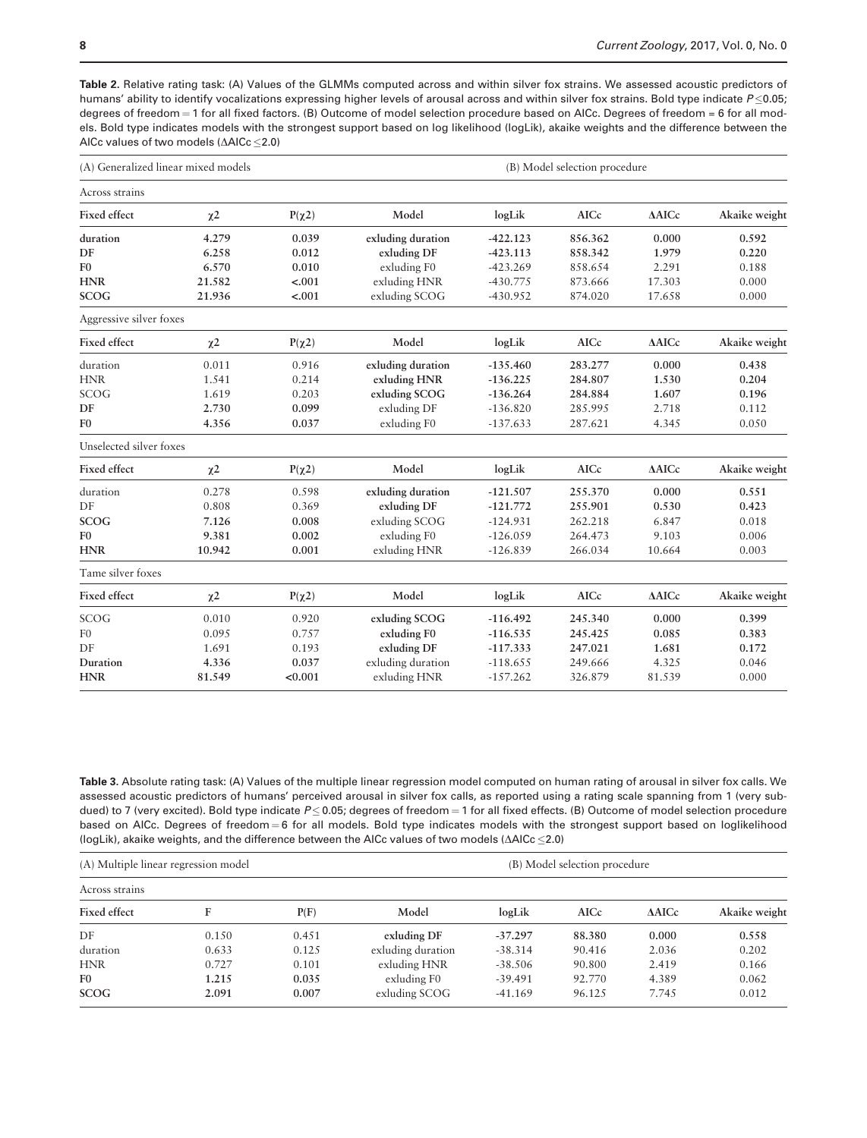<span id="page-7-0"></span>Table 2. Relative rating task: (A) Values of the GLMMs computed across and within silver fox strains. We assessed acoustic predictors of humans' ability to identify vocalizations expressing higher levels of arousal across and within silver fox strains. Bold type indicate  $P \le 0.05$ ; degrees of freedom = 1 for all fixed factors. (B) Outcome of model selection procedure based on AICc. Degrees of freedom = 6 for all models. Bold type indicates models with the strongest support based on log likelihood (logLik), akaike weights and the difference between the AICc values of two models ( $\triangle$ AICc  $\leq$ 2.0)

|                         | (A) Generalized linear mixed models |            | (B) Model selection procedure |            |             |                  |               |  |
|-------------------------|-------------------------------------|------------|-------------------------------|------------|-------------|------------------|---------------|--|
| Across strains          |                                     |            |                               |            |             |                  |               |  |
| <b>Fixed effect</b>     | $\chi$ <sup>2</sup>                 | $P(\chi2)$ | Model                         | logLik     | <b>AICc</b> | $\triangle$ AICc | Akaike weight |  |
| duration                | 4.279                               | 0.039      | exluding duration             | $-422.123$ | 856.362     | 0.000            | 0.592         |  |
| DF                      | 6.258                               | 0.012      | exluding DF                   | $-423.113$ | 858.342     | 1.979            | 0.220         |  |
| F <sub>0</sub>          | 6.570                               | 0.010      | exluding F0                   | $-423.269$ | 858.654     | 2.291            | 0.188         |  |
| <b>HNR</b>              | 21.582                              | $-.001$    | exluding HNR                  | $-430.775$ | 873.666     | 17.303           | 0.000         |  |
| <b>SCOG</b>             | 21.936                              | $-.001$    | exluding SCOG                 | $-430.952$ | 874.020     | 17.658           | 0.000         |  |
| Aggressive silver foxes |                                     |            |                               |            |             |                  |               |  |
| <b>Fixed effect</b>     | $\chi$ 2                            | $P(\chi2)$ | Model                         | logLik     | <b>AICc</b> | $\triangle$ AICc | Akaike weight |  |
| duration                | 0.011                               | 0.916      | exluding duration             | $-135.460$ | 283.277     | 0.000            | 0.438         |  |
| <b>HNR</b>              | 1.541                               | 0.214      | exluding HNR                  | $-136.225$ | 284.807     | 1.530            | 0.204         |  |
| SCOG                    | 1.619                               | 0.203      | exluding SCOG                 | $-136.264$ | 284.884     | 1.607            | 0.196         |  |
| DF                      | 2.730                               | 0.099      | exluding DF                   | $-136.820$ | 285.995     | 2.718            | 0.112         |  |
| F <sub>0</sub>          | 4.356                               | 0.037      | exluding F0                   | $-137.633$ | 287.621     | 4.345            | 0.050         |  |
| Unselected silver foxes |                                     |            |                               |            |             |                  |               |  |
| <b>Fixed effect</b>     | $\chi$ <sub>2</sub>                 | $P(\chi2)$ | Model                         | logLik     | <b>AICc</b> | $\triangle$ AICc | Akaike weight |  |
| duration                | 0.278                               | 0.598      | exluding duration             | $-121.507$ | 255.370     | 0.000            | 0.551         |  |
| DF                      | 0.808                               | 0.369      | exluding DF                   | $-121.772$ | 255.901     | 0.530            | 0.423         |  |
| <b>SCOG</b>             | 7.126                               | 0.008      | exluding SCOG                 | $-124.931$ | 262.218     | 6.847            | 0.018         |  |
| F <sub>0</sub>          | 9.381                               | 0.002      | exluding F0                   | $-126.059$ | 264.473     | 9.103            | 0.006         |  |
| <b>HNR</b>              | 10.942                              | 0.001      | exluding HNR                  | $-126.839$ | 266.034     | 10.664           | 0.003         |  |
| Tame silver foxes       |                                     |            |                               |            |             |                  |               |  |
| <b>Fixed effect</b>     | $\chi$ 2                            | $P(\chi2)$ | Model                         | logLik     | <b>AICc</b> | $\triangle$ AICc | Akaike weight |  |
| SCOG                    | 0.010                               | 0.920      | exluding SCOG                 | $-116.492$ | 245.340     | 0.000            | 0.399         |  |
| F <sub>0</sub>          | 0.095                               | 0.757      | exluding F0                   | $-116.535$ | 245.425     | 0.085            | 0.383         |  |
| DF                      | 1.691                               | 0.193      | exluding DF                   | $-117.333$ | 247.021     | 1.681            | 0.172         |  |
| Duration                | 4.336                               | 0.037      | exluding duration             | $-118.655$ | 249.666     | 4.325            | 0.046         |  |
| <b>HNR</b>              | 81.549                              | < 0.001    | exluding HNR                  | $-157.262$ | 326.879     | 81.539           | 0.000         |  |

Table 3. Absolute rating task: (A) Values of the multiple linear regression model computed on human rating of arousal in silver fox calls. We assessed acoustic predictors of humans' perceived arousal in silver fox calls, as reported using a rating scale spanning from 1 (very subdued) to 7 (very excited). Bold type indicate  $P \le 0.05$ ; degrees of freedom = 1 for all fixed effects. (B) Outcome of model selection procedure based on AICc. Degrees of freedom = 6 for all models. Bold type indicates models with the strongest support based on loglikelihood (logLik), akaike weights, and the difference between the AICc values of two models  $(\Delta AICc \leq 2.0)$ 

| (A) Multiple linear regression model |       |       | (B) Model selection procedure |           |             |       |               |  |
|--------------------------------------|-------|-------|-------------------------------|-----------|-------------|-------|---------------|--|
| Across strains                       |       |       |                               |           |             |       |               |  |
| <b>Fixed effect</b>                  | F     | P(F)  | Model                         | logLik    | <b>AICc</b> | AAICc | Akaike weight |  |
| DF                                   | 0.150 | 0.451 | exluding DF                   | $-37.297$ | 88.380      | 0.000 | 0.558         |  |
| duration                             | 0.633 | 0.125 | exluding duration             | $-38.314$ | 90.416      | 2.036 | 0.202         |  |
| <b>HNR</b>                           | 0.727 | 0.101 | exluding HNR                  | $-38.506$ | 90.800      | 2.419 | 0.166         |  |
| F0                                   | 1.215 | 0.035 | exluding F <sub>0</sub>       | $-39.491$ | 92.770      | 4.389 | 0.062         |  |
| <b>SCOG</b>                          | 2.091 | 0.007 | exluding SCOG                 | $-41.169$ | 96.125      | 7.745 | 0.012         |  |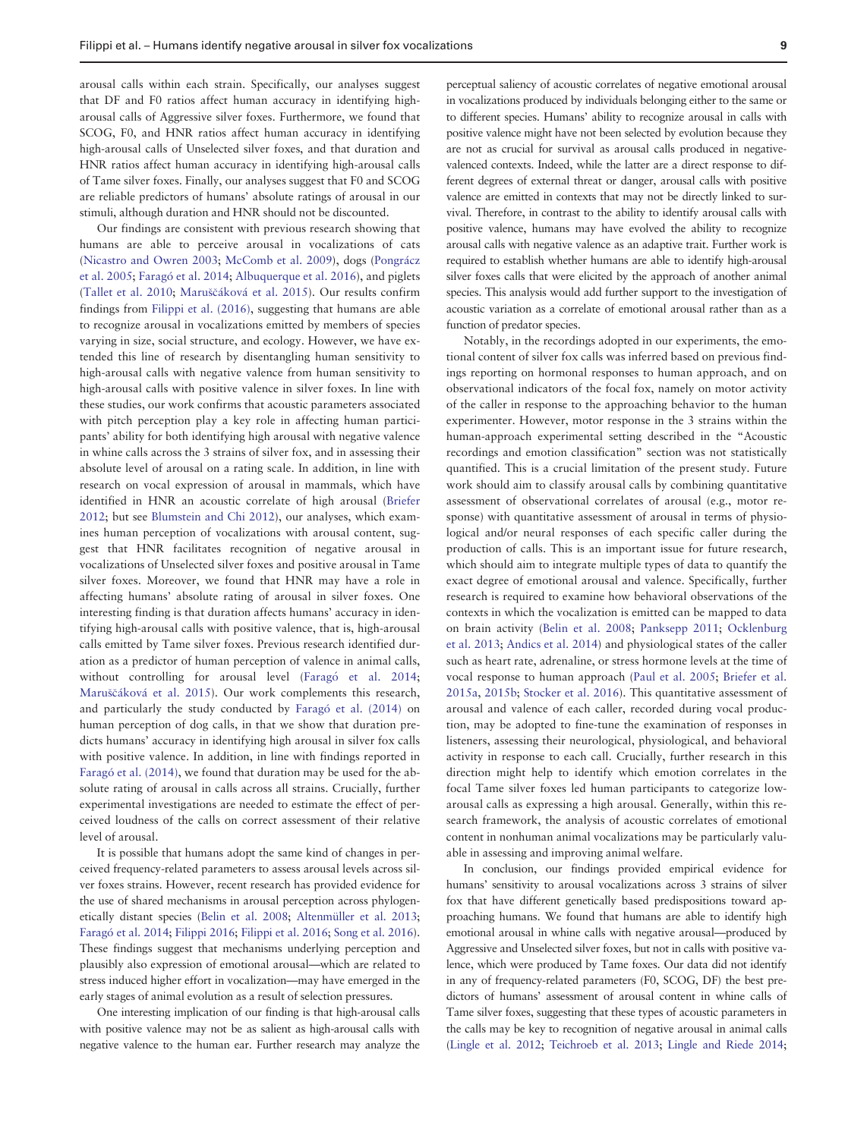arousal calls within each strain. Specifically, our analyses suggest that DF and F0 ratios affect human accuracy in identifying higharousal calls of Aggressive silver foxes. Furthermore, we found that SCOG, F0, and HNR ratios affect human accuracy in identifying high-arousal calls of Unselected silver foxes, and that duration and HNR ratios affect human accuracy in identifying high-arousal calls of Tame silver foxes. Finally, our analyses suggest that F0 and SCOG are reliable predictors of humans' absolute ratings of arousal in our stimuli, although duration and HNR should not be discounted.

Our findings are consistent with previous research showing that humans are able to perceive arousal in vocalizations of cats [\(Nicastro and Owren 2003;](#page-10-0) [McComb et al. 2009](#page-10-0)), dogs [\(Pongr](#page-10-0)ácz [et al. 2005;](#page-10-0) Faragó et al. 2014; [Albuquerque et al. 2016\)](#page-9-0), and piglets [\(Tallet et al. 2010](#page-10-0); [Maru](#page-10-0)ščá[kov](#page-10-0)á [et al. 2015\)](#page-10-0). Our results confirm findings from [Filippi et al. \(2016\)](#page-9-0), suggesting that humans are able to recognize arousal in vocalizations emitted by members of species varying in size, social structure, and ecology. However, we have extended this line of research by disentangling human sensitivity to high-arousal calls with negative valence from human sensitivity to high-arousal calls with positive valence in silver foxes. In line with these studies, our work confirms that acoustic parameters associated with pitch perception play a key role in affecting human participants' ability for both identifying high arousal with negative valence in whine calls across the 3 strains of silver fox, and in assessing their absolute level of arousal on a rating scale. In addition, in line with research on vocal expression of arousal in mammals, which have identified in HNR an acoustic correlate of high arousal ([Briefer](#page-9-0) [2012](#page-9-0); but see [Blumstein and Chi 2012\)](#page-9-0), our analyses, which examines human perception of vocalizations with arousal content, suggest that HNR facilitates recognition of negative arousal in vocalizations of Unselected silver foxes and positive arousal in Tame silver foxes. Moreover, we found that HNR may have a role in affecting humans' absolute rating of arousal in silver foxes. One interesting finding is that duration affects humans' accuracy in identifying high-arousal calls with positive valence, that is, high-arousal calls emitted by Tame silver foxes. Previous research identified duration as a predictor of human perception of valence in animal calls, without controlling for arousal level ([Farag](#page-9-0)ó [et al. 2014](#page-9-0); [Maru](#page-10-0)ščá[kov](#page-10-0)á et al. 2015). Our work complements this research, and particularly the study conducted by Faragó et al. (2014) on human perception of dog calls, in that we show that duration predicts humans' accuracy in identifying high arousal in silver fox calls with positive valence. In addition, in line with findings reported in Faragó et al. (2014), we found that duration may be used for the absolute rating of arousal in calls across all strains. Crucially, further experimental investigations are needed to estimate the effect of perceived loudness of the calls on correct assessment of their relative level of arousal.

It is possible that humans adopt the same kind of changes in perceived frequency-related parameters to assess arousal levels across silver foxes strains. However, recent research has provided evidence for the use of shared mechanisms in arousal perception across phylogen-etically distant species [\(Belin et al. 2008;](#page-9-0) Altenmüller et al. 2013; Faragó et al. 2014; [Filippi 2016](#page-9-0); [Filippi et al. 2016](#page-9-0); [Song et al. 2016\)](#page-10-0). These findings suggest that mechanisms underlying perception and plausibly also expression of emotional arousal—which are related to stress induced higher effort in vocalization—may have emerged in the early stages of animal evolution as a result of selection pressures.

One interesting implication of our finding is that high-arousal calls with positive valence may not be as salient as high-arousal calls with negative valence to the human ear. Further research may analyze the

perceptual saliency of acoustic correlates of negative emotional arousal in vocalizations produced by individuals belonging either to the same or to different species. Humans' ability to recognize arousal in calls with positive valence might have not been selected by evolution because they are not as crucial for survival as arousal calls produced in negativevalenced contexts. Indeed, while the latter are a direct response to different degrees of external threat or danger, arousal calls with positive valence are emitted in contexts that may not be directly linked to survival. Therefore, in contrast to the ability to identify arousal calls with positive valence, humans may have evolved the ability to recognize arousal calls with negative valence as an adaptive trait. Further work is required to establish whether humans are able to identify high-arousal silver foxes calls that were elicited by the approach of another animal species. This analysis would add further support to the investigation of acoustic variation as a correlate of emotional arousal rather than as a function of predator species.

Notably, in the recordings adopted in our experiments, the emotional content of silver fox calls was inferred based on previous findings reporting on hormonal responses to human approach, and on observational indicators of the focal fox, namely on motor activity of the caller in response to the approaching behavior to the human experimenter. However, motor response in the 3 strains within the human-approach experimental setting described in the "Acoustic recordings and emotion classification" section was not statistically quantified. This is a crucial limitation of the present study. Future work should aim to classify arousal calls by combining quantitative assessment of observational correlates of arousal (e.g., motor response) with quantitative assessment of arousal in terms of physiological and/or neural responses of each specific caller during the production of calls. This is an important issue for future research, which should aim to integrate multiple types of data to quantify the exact degree of emotional arousal and valence. Specifically, further research is required to examine how behavioral observations of the contexts in which the vocalization is emitted can be mapped to data on brain activity ([Belin et al. 2008;](#page-9-0) [Panksepp 2011;](#page-10-0) [Ocklenburg](#page-10-0) [et al. 2013;](#page-10-0) [Andics et al. 2014\)](#page-9-0) and physiological states of the caller such as heart rate, adrenaline, or stress hormone levels at the time of vocal response to human approach [\(Paul et al. 2005;](#page-10-0) [Briefer et al.](#page-9-0) [2015a](#page-9-0), [2015b](#page-9-0); [Stocker et al. 2016](#page-10-0)). This quantitative assessment of arousal and valence of each caller, recorded during vocal production, may be adopted to fine-tune the examination of responses in listeners, assessing their neurological, physiological, and behavioral activity in response to each call. Crucially, further research in this direction might help to identify which emotion correlates in the focal Tame silver foxes led human participants to categorize lowarousal calls as expressing a high arousal. Generally, within this research framework, the analysis of acoustic correlates of emotional content in nonhuman animal vocalizations may be particularly valuable in assessing and improving animal welfare.

In conclusion, our findings provided empirical evidence for humans' sensitivity to arousal vocalizations across 3 strains of silver fox that have different genetically based predispositions toward approaching humans. We found that humans are able to identify high emotional arousal in whine calls with negative arousal—produced by Aggressive and Unselected silver foxes, but not in calls with positive valence, which were produced by Tame foxes. Our data did not identify in any of frequency-related parameters (F0, SCOG, DF) the best predictors of humans' assessment of arousal content in whine calls of Tame silver foxes, suggesting that these types of acoustic parameters in the calls may be key to recognition of negative arousal in animal calls [\(Lingle et al. 2012;](#page-10-0) [Teichroeb et al. 2013;](#page-10-0) [Lingle and Riede 2014](#page-10-0);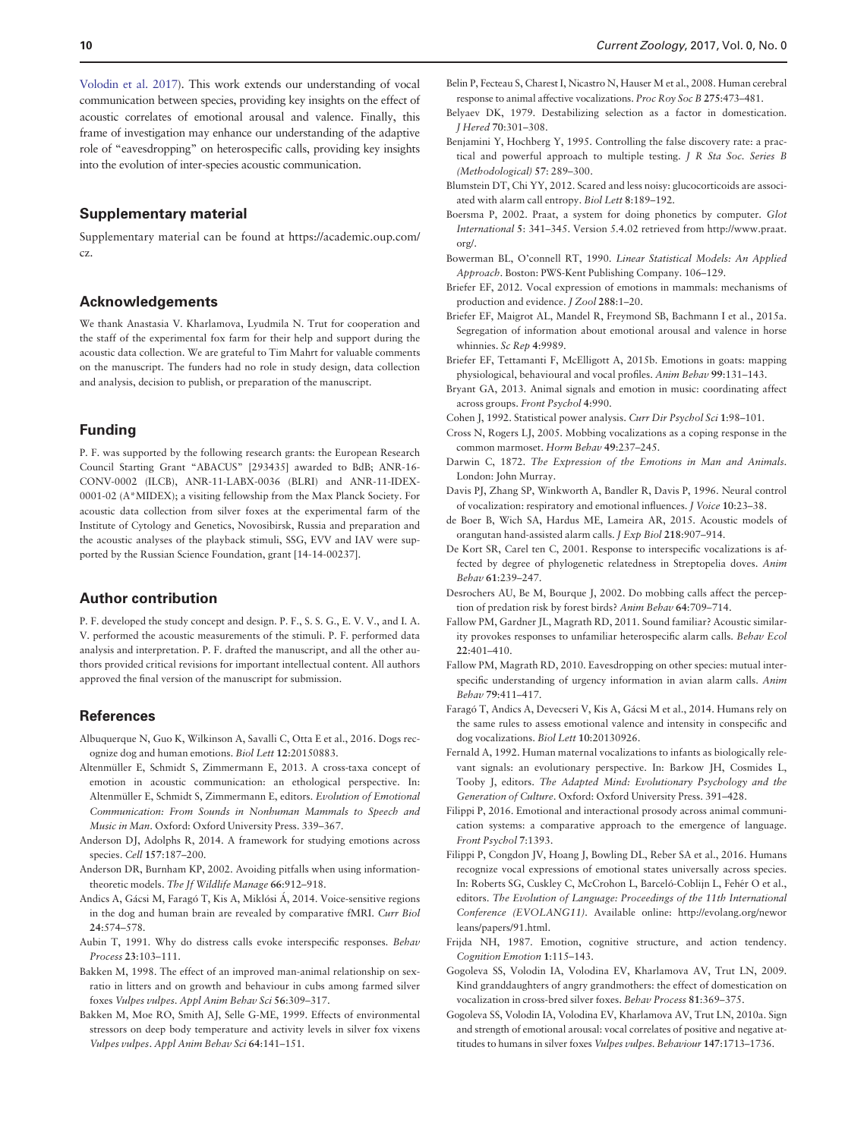<span id="page-9-0"></span>[Volodin et al. 2017\)](#page-11-0). This work extends our understanding of vocal communication between species, providing key insights on the effect of acoustic correlates of emotional arousal and valence. Finally, this frame of investigation may enhance our understanding of the adaptive role of "eavesdropping" on heterospecific calls, providing key insights into the evolution of inter-species acoustic communication.

# Supplementary material

Supplementary material can be found at [https://academic.oup.com/](https://academic.oup.com/cz) [cz.](https://academic.oup.com/cz)

# Acknowledgements

We thank Anastasia V. Kharlamova, Lyudmila N. Trut for cooperation and the staff of the experimental fox farm for their help and support during the acoustic data collection. We are grateful to Tim Mahrt for valuable comments on the manuscript. The funders had no role in study design, data collection and analysis, decision to publish, or preparation of the manuscript.

## Funding

P. F. was supported by the following research grants: the European Research Council Starting Grant "ABACUS" [293435] awarded to BdB; ANR-16- CONV-0002 (ILCB), ANR-11-LABX-0036 (BLRI) and ANR-11-IDEX-0001-02 (A\*MIDEX); a visiting fellowship from the Max Planck Society. For acoustic data collection from silver foxes at the experimental farm of the Institute of Cytology and Genetics, Novosibirsk, Russia and preparation and the acoustic analyses of the playback stimuli, SSG, EVV and IAV were supported by the Russian Science Foundation, grant [14-14-00237].

# Author contribution

P. F. developed the study concept and design. P. F., S. S. G., E. V. V., and I. A. V. performed the acoustic measurements of the stimuli. P. F. performed data analysis and interpretation. P. F. drafted the manuscript, and all the other authors provided critical revisions for important intellectual content. All authors approved the final version of the manuscript for submission.

### References

- Albuquerque N, Guo K, Wilkinson A, Savalli C, Otta E et al., 2016. Dogs recognize dog and human emotions. Biol Lett 12:20150883.
- Altenmüller E, Schmidt S, Zimmermann E, 2013. A cross-taxa concept of emotion in acoustic communication: an ethological perspective. In: Altenmüller E, Schmidt S, Zimmermann E, editors. Evolution of Emotional Communication: From Sounds in Nonhuman Mammals to Speech and Music in Man. Oxford: Oxford University Press. 339–367.
- Anderson DJ, Adolphs R, 2014. A framework for studying emotions across species. Cell 157:187–200.
- Anderson DR, Burnham KP, 2002. Avoiding pitfalls when using informationtheoretic models. The Jf Wildlife Manage 66:912–918.
- Andics A, Gácsi M, Faragó T, Kis A, Miklósi Á, 2014. Voice-sensitive regions in the dog and human brain are revealed by comparative fMRI. Curr Biol 24:574–578.
- Aubin T, 1991. Why do distress calls evoke interspecific responses. Behav Process 23:103–111.
- Bakken M, 1998. The effect of an improved man-animal relationship on sexratio in litters and on growth and behaviour in cubs among farmed silver foxes Vulpes vulpes. Appl Anim Behav Sci 56:309–317.
- Bakken M, Moe RO, Smith AJ, Selle G-ME, 1999. Effects of environmental stressors on deep body temperature and activity levels in silver fox vixens Vulpes vulpes. Appl Anim Behav Sci 64:141–151.
- Belin P, Fecteau S, Charest I, Nicastro N, Hauser M et al., 2008. Human cerebral response to animal affective vocalizations. Proc Roy Soc B 275:473–481.
- Belyaev DK, 1979. Destabilizing selection as a factor in domestication. J Hered 70:301–308.
- Benjamini Y, Hochberg Y, 1995. Controlling the false discovery rate: a practical and powerful approach to multiple testing. J R Sta Soc. Series B (Methodological) 57: 289–300.
- Blumstein DT, Chi YY, 2012. Scared and less noisy: glucocorticoids are associated with alarm call entropy. Biol Lett 8:189–192.
- Boersma P, 2002. Praat, a system for doing phonetics by computer. Glot International 5: 341–345. Version 5.4.02 retrieved from [http://www.praat.](http://www.praat.org/) [org/.](http://www.praat.org/)
- Bowerman BL, O'connell RT, 1990. Linear Statistical Models: An Applied Approach. Boston: PWS-Kent Publishing Company. 106–129.
- Briefer EF, 2012. Vocal expression of emotions in mammals: mechanisms of production and evidence. J Zool 288:1–20.
- Briefer EF, Maigrot AL, Mandel R, Freymond SB, Bachmann I et al., 2015a. Segregation of information about emotional arousal and valence in horse whinnies. Sc Rep 4:9989.
- Briefer EF, Tettamanti F, McElligott A, 2015b. Emotions in goats: mapping physiological, behavioural and vocal profiles. Anim Behav 99:131–143.
- Bryant GA, 2013. Animal signals and emotion in music: coordinating affect across groups. Front Psychol 4:990.
- Cohen J, 1992. Statistical power analysis. Curr Dir Psychol Sci 1:98–101.
- Cross N, Rogers LJ, 2005. Mobbing vocalizations as a coping response in the common marmoset. Horm Behav 49:237–245.
- Darwin C, 1872. The Expression of the Emotions in Man and Animals. London: John Murray.
- Davis PJ, Zhang SP, Winkworth A, Bandler R, Davis P, 1996. Neural control of vocalization: respiratory and emotional influences. J Voice 10:23–38.
- de Boer B, Wich SA, Hardus ME, Lameira AR, 2015. Acoustic models of orangutan hand-assisted alarm calls. J Exp Biol 218:907–914.
- De Kort SR, Carel ten C, 2001. Response to interspecific vocalizations is affected by degree of phylogenetic relatedness in Streptopelia doves. Anim Behav 61:239–247.
- Desrochers AU, Be M, Bourque J, 2002. Do mobbing calls affect the perception of predation risk by forest birds? Anim Behav 64:709–714.
- Fallow PM, Gardner JL, Magrath RD, 2011. Sound familiar? Acoustic similarity provokes responses to unfamiliar heterospecific alarm calls. Behav Ecol 22:401–410.
- Fallow PM, Magrath RD, 2010. Eavesdropping on other species: mutual interspecific understanding of urgency information in avian alarm calls. Anim Behav 79:411–417.
- Faragó T, Andics A, Devecseri V, Kis A, Gácsi M et al., 2014. Humans rely on the same rules to assess emotional valence and intensity in conspecific and dog vocalizations. Biol Lett 10:20130926.
- Fernald A, 1992. Human maternal vocalizations to infants as biologically relevant signals: an evolutionary perspective. In: Barkow JH, Cosmides L, Tooby J, editors. The Adapted Mind: Evolutionary Psychology and the Generation of Culture. Oxford: Oxford University Press. 391–428.
- Filippi P, 2016. Emotional and interactional prosody across animal communication systems: a comparative approach to the emergence of language. Front Psychol 7:1393.
- Filippi P, Congdon JV, Hoang J, Bowling DL, Reber SA et al., 2016. Humans recognize vocal expressions of emotional states universally across species. In: Roberts SG, Cuskley C, McCrohon L, Barceló-Coblijn L, Fehér O et al., editors. The Evolution of Language: Proceedings of the 11th International Conference (EVOLANG11). Available online: [http://evolang.org/newor](http://evolang.org/neworleans/papers/91.html) [leans/papers/91.html](http://evolang.org/neworleans/papers/91.html).
- Frijda NH, 1987. Emotion, cognitive structure, and action tendency. Cognition Emotion 1:115–143.
- Gogoleva SS, Volodin IA, Volodina EV, Kharlamova AV, Trut LN, 2009. Kind granddaughters of angry grandmothers: the effect of domestication on vocalization in cross-bred silver foxes. Behav Process 81:369-375.
- Gogoleva SS, Volodin IA, Volodina EV, Kharlamova AV, Trut LN, 2010a. Sign and strength of emotional arousal: vocal correlates of positive and negative attitudes to humans in silver foxes Vulpes vulpes. Behaviour 147:1713–1736.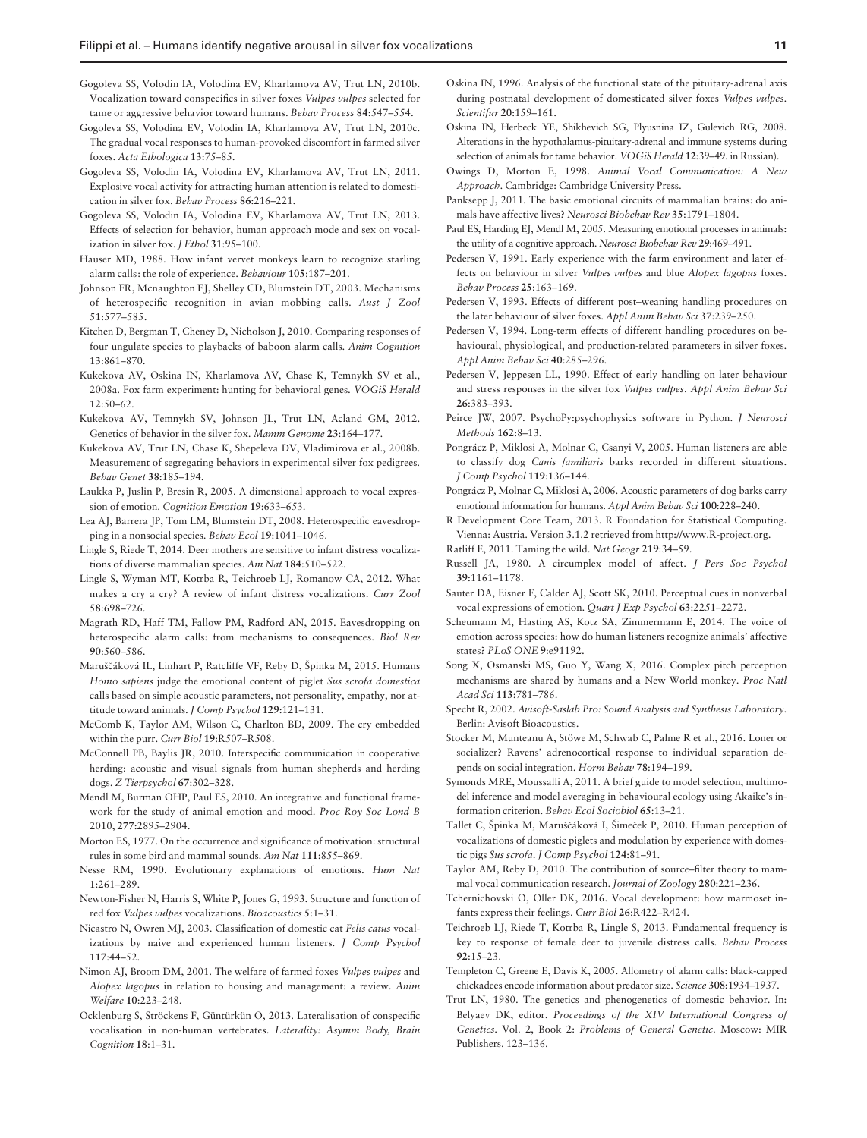- <span id="page-10-0"></span>Gogoleva SS, Volodin IA, Volodina EV, Kharlamova AV, Trut LN, 2010b. Vocalization toward conspecifics in silver foxes Vulpes vulpes selected for tame or aggressive behavior toward humans. Behav Process 84:547–554.
- Gogoleva SS, Volodina EV, Volodin IA, Kharlamova AV, Trut LN, 2010c. The gradual vocal responses to human-provoked discomfort in farmed silver foxes. Acta Ethologica 13:75–85.
- Gogoleva SS, Volodin IA, Volodina EV, Kharlamova AV, Trut LN, 2011. Explosive vocal activity for attracting human attention is related to domestication in silver fox. Behav Process 86:216–221.
- Gogoleva SS, Volodin IA, Volodina EV, Kharlamova AV, Trut LN, 2013. Effects of selection for behavior, human approach mode and sex on vocalization in silver fox. J Ethol 31:95–100.
- Hauser MD, 1988. How infant vervet monkeys learn to recognize starling alarm calls: the role of experience. Behaviour 105:187–201.
- Johnson FR, Mcnaughton EJ, Shelley CD, Blumstein DT, 2003. Mechanisms of heterospecific recognition in avian mobbing calls. Aust J Zool 51:577–585.
- Kitchen D, Bergman T, Cheney D, Nicholson J, 2010. Comparing responses of four ungulate species to playbacks of baboon alarm calls. Anim Cognition 13:861–870.
- Kukekova AV, Oskina IN, Kharlamova AV, Chase K, Temnykh SV et al., 2008a. Fox farm experiment: hunting for behavioral genes. VOGiS Herald 12:50–62.
- Kukekova AV, Temnykh SV, Johnson JL, Trut LN, Acland GM, 2012. Genetics of behavior in the silver fox. Mamm Genome 23:164–177.
- Kukekova AV, Trut LN, Chase K, Shepeleva DV, Vladimirova et al., 2008b. Measurement of segregating behaviors in experimental silver fox pedigrees. Behav Genet 38:185–194.
- Laukka P, Juslin P, Bresin R, 2005. A dimensional approach to vocal expression of emotion. Cognition Emotion 19:633–653.
- Lea AJ, Barrera JP, Tom LM, Blumstein DT, 2008. Heterospecific eavesdropping in a nonsocial species. Behav Ecol 19:1041–1046.
- Lingle S, Riede T, 2014. Deer mothers are sensitive to infant distress vocalizations of diverse mammalian species. Am Nat 184:510–522.
- Lingle S, Wyman MT, Kotrba R, Teichroeb LJ, Romanow CA, 2012. What makes a cry a cry? A review of infant distress vocalizations. Curr Zool 58:698–726.
- Magrath RD, Haff TM, Fallow PM, Radford AN, 2015. Eavesdropping on heterospecific alarm calls: from mechanisms to consequences. Biol Rev 90:560–586.
- Maruščáková IL, Linhart P, Ratcliffe VF, Reby D, Špinka M, 2015. Humans Homo sapiens judge the emotional content of piglet Sus scrofa domestica calls based on simple acoustic parameters, not personality, empathy, nor attitude toward animals. J Comp Psychol 129:121–131.
- McComb K, Taylor AM, Wilson C, Charlton BD, 2009. The cry embedded within the purr. Curr Biol 19:R507–R508.
- McConnell PB, Baylis JR, 2010. Interspecific communication in cooperative herding: acoustic and visual signals from human shepherds and herding dogs. Z Tierpsychol 67:302–328.
- Mendl M, Burman OHP, Paul ES, 2010. An integrative and functional framework for the study of animal emotion and mood. Proc Roy Soc Lond B 2010, 277:2895–2904.
- Morton ES, 1977. On the occurrence and significance of motivation: structural rules in some bird and mammal sounds. Am Nat 111:855–869.
- Nesse RM, 1990. Evolutionary explanations of emotions. Hum Nat 1:261–289.
- Newton-Fisher N, Harris S, White P, Jones G, 1993. Structure and function of red fox Vulpes vulpes vocalizations. Bioacoustics 5:1–31.
- Nicastro N, Owren MJ, 2003. Classification of domestic cat Felis catus vocalizations by naive and experienced human listeners. J Comp Psychol 117:44–52.
- Nimon AJ, Broom DM, 2001. The welfare of farmed foxes Vulpes vulpes and Alopex lagopus in relation to housing and management: a review. Anim Welfare 10:223–248.
- Ocklenburg S, Ströckens F, Güntürkün O, 2013. Lateralisation of conspecific vocalisation in non-human vertebrates. Laterality: Asymm Body, Brain Cognition 18:1–31.
- Oskina IN, 1996. Analysis of the functional state of the pituitary-adrenal axis during postnatal development of domesticated silver foxes Vulpes vulpes. Scientifur 20:159–161.
- Oskina IN, Herbeck YE, Shikhevich SG, Plyusnina IZ, Gulevich RG, 2008. Alterations in the hypothalamus-pituitary-adrenal and immune systems during selection of animals for tame behavior. VOGiS Herald 12:39-49. in Russian).
- Owings D, Morton E, 1998. Animal Vocal Communication: A New Approach. Cambridge: Cambridge University Press.
- Panksepp J, 2011. The basic emotional circuits of mammalian brains: do animals have affective lives? Neurosci Biobehav Rev 35:1791–1804.
- Paul ES, Harding EJ, Mendl M, 2005. Measuring emotional processes in animals: the utility of a cognitive approach. Neurosci Biobehav Rev 29:469–491.
- Pedersen V, 1991. Early experience with the farm environment and later effects on behaviour in silver Vulpes vulpes and blue Alopex lagopus foxes. Behav Process 25:163–169.
- Pedersen V, 1993. Effects of different post–weaning handling procedures on the later behaviour of silver foxes. Appl Anim Behav Sci 37:239–250.
- Pedersen V, 1994. Long-term effects of different handling procedures on behavioural, physiological, and production-related parameters in silver foxes. Appl Anim Behav Sci 40:285–296.
- Pedersen V, Jeppesen LL, 1990. Effect of early handling on later behaviour and stress responses in the silver fox Vulpes vulpes. Appl Anim Behav Sci 26:383–393.
- Peirce JW, 2007. PsychoPy:psychophysics software in Python. J Neurosci Methods 162:8–13.
- Pongrácz P, Miklosi A, Molnar C, Csanyi V, 2005. Human listeners are able to classify dog Canis familiaris barks recorded in different situations. J Comp Psychol 119:136–144.
- Pongrácz P, Molnar C, Miklosi A, 2006. Acoustic parameters of dog barks carry emotional information for humans. Appl Anim Behav Sci 100:228–240.
- R Development Core Team, 2013. R Foundation for Statistical Computing. Vienna: Austria. Version 3.1.2 retrieved from [http://www.R-project.org.](http://www.R-project.org)
- Ratliff E, 2011. Taming the wild. Nat Geogr 219:34–59.
- Russell JA, 1980. A circumplex model of affect. J Pers Soc Psychol 39:1161–1178.
- Sauter DA, Eisner F, Calder AJ, Scott SK, 2010. Perceptual cues in nonverbal vocal expressions of emotion. Quart J Exp Psychol 63:2251–2272.
- Scheumann M, Hasting AS, Kotz SA, Zimmermann E, 2014. The voice of emotion across species: how do human listeners recognize animals' affective states? PLoS ONE 9:e91192.
- Song X, Osmanski MS, Guo Y, Wang X, 2016. Complex pitch perception mechanisms are shared by humans and a New World monkey. Proc Natl Acad Sci 113:781–786.
- Specht R, 2002. Avisoft-Saslab Pro: Sound Analysis and Synthesis Laboratory. Berlin: Avisoft Bioacoustics.
- Stocker M, Munteanu A, Stöwe M, Schwab C, Palme R et al., 2016. Loner or socializer? Ravens' adrenocortical response to individual separation depends on social integration. Horm Behav 78:194–199.
- Symonds MRE, Moussalli A, 2011. A brief guide to model selection, multimodel inference and model averaging in behavioural ecology using Akaike's information criterion. Behav Ecol Sociobiol 65:13–21.
- Tallet C, Špinka M, Maruščáková I, Šimeček P, 2010. Human perception of vocalizations of domestic piglets and modulation by experience with domestic pigs Sus scrofa. J Comp Psychol 124:81–91.
- Taylor AM, Reby D, 2010. The contribution of source–filter theory to mammal vocal communication research. Journal of Zoology 280:221–236.
- Tchernichovski O, Oller DK, 2016. Vocal development: how marmoset infants express their feelings. Curr Biol 26:R422–R424.
- Teichroeb LJ, Riede T, Kotrba R, Lingle S, 2013. Fundamental frequency is key to response of female deer to juvenile distress calls. Behav Process 92:15–23.
- Templeton C, Greene E, Davis K, 2005. Allometry of alarm calls: black-capped chickadees encode information about predator size. Science 308:1934–1937.
- Trut LN, 1980. The genetics and phenogenetics of domestic behavior. In: Belyaev DK, editor. Proceedings of the XIV International Congress of Genetics. Vol. 2, Book 2: Problems of General Genetic. Moscow: MIR Publishers. 123–136.